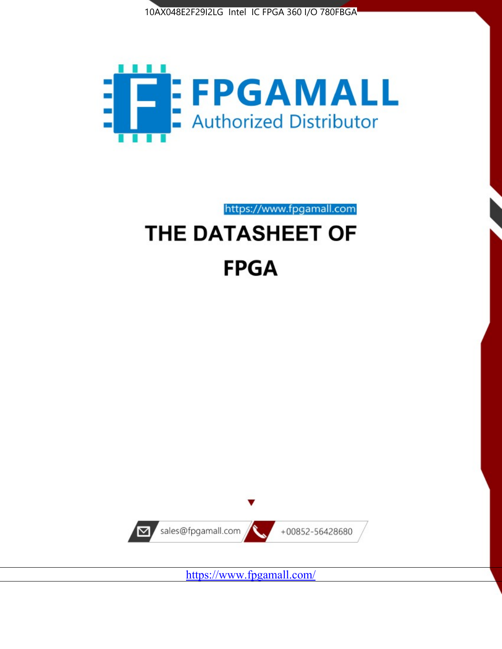



https://www.fpgamall.com THE DATASHEET OF

# **FPGA**



<https://www.fpgamall.com/>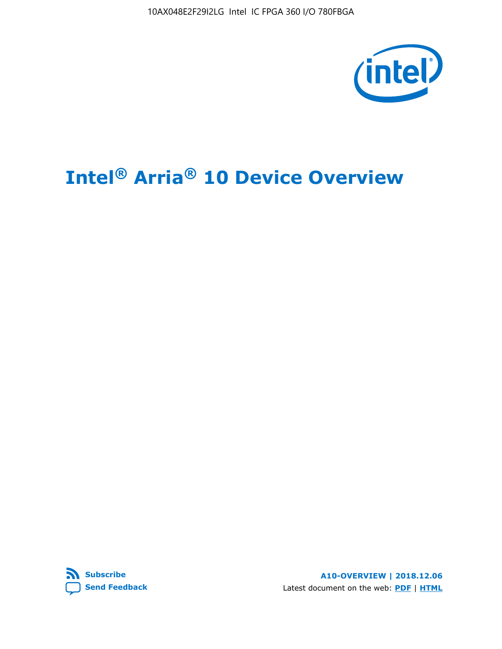10AX048E2F29I2LG Intel IC FPGA 360 I/O 780FBGA



## **Intel® Arria® 10 Device Overview**



**A10-OVERVIEW | 2018.12.06** Latest document on the web: **[PDF](https://www.intel.com/content/dam/www/programmable/us/en/pdfs/literature/hb/arria-10/a10_overview.pdf)** | **[HTML](https://www.intel.com/content/www/us/en/programmable/documentation/sam1403480274650.html)**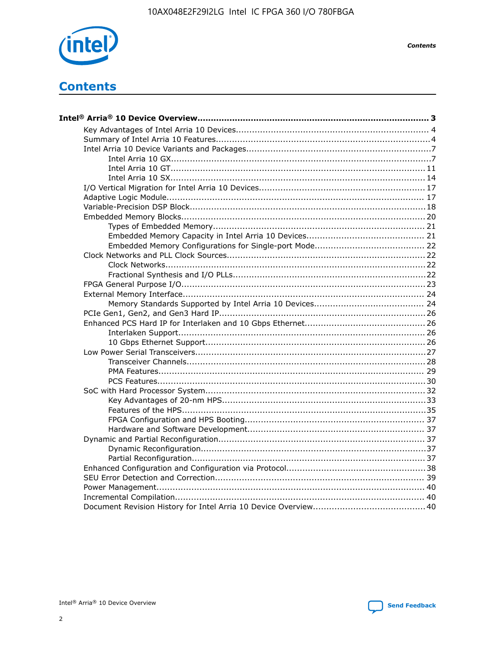

**Contents** 



**Send Feedback**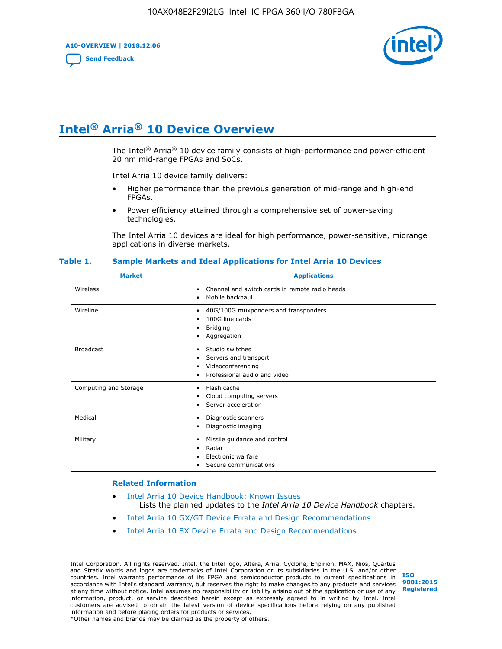**A10-OVERVIEW | 2018.12.06**

**[Send Feedback](mailto:FPGAtechdocfeedback@intel.com?subject=Feedback%20on%20Intel%20Arria%2010%20Device%20Overview%20(A10-OVERVIEW%202018.12.06)&body=We%20appreciate%20your%20feedback.%20In%20your%20comments,%20also%20specify%20the%20page%20number%20or%20paragraph.%20Thank%20you.)**



## **Intel® Arria® 10 Device Overview**

The Intel<sup>®</sup> Arria<sup>®</sup> 10 device family consists of high-performance and power-efficient 20 nm mid-range FPGAs and SoCs.

Intel Arria 10 device family delivers:

- Higher performance than the previous generation of mid-range and high-end FPGAs.
- Power efficiency attained through a comprehensive set of power-saving technologies.

The Intel Arria 10 devices are ideal for high performance, power-sensitive, midrange applications in diverse markets.

| <b>Market</b>         | <b>Applications</b>                                                                                               |
|-----------------------|-------------------------------------------------------------------------------------------------------------------|
| Wireless              | Channel and switch cards in remote radio heads<br>$\bullet$<br>Mobile backhaul<br>٠                               |
| Wireline              | 40G/100G muxponders and transponders<br>٠<br>100G line cards<br>٠<br><b>Bridging</b><br>٠<br>Aggregation<br>٠     |
| <b>Broadcast</b>      | Studio switches<br>٠<br>Servers and transport<br>٠<br>Videoconferencing<br>٠<br>Professional audio and video<br>٠ |
| Computing and Storage | Flash cache<br>٠<br>Cloud computing servers<br>٠<br>Server acceleration<br>٠                                      |
| Medical               | Diagnostic scanners<br>٠<br>Diagnostic imaging<br>٠                                                               |
| Military              | Missile guidance and control<br>٠<br>Radar<br>٠<br>Electronic warfare<br>٠<br>Secure communications<br>٠          |

#### **Table 1. Sample Markets and Ideal Applications for Intel Arria 10 Devices**

#### **Related Information**

- [Intel Arria 10 Device Handbook: Known Issues](http://www.altera.com/support/kdb/solutions/rd07302013_646.html) Lists the planned updates to the *Intel Arria 10 Device Handbook* chapters.
- [Intel Arria 10 GX/GT Device Errata and Design Recommendations](https://www.intel.com/content/www/us/en/programmable/documentation/agz1493851706374.html#yqz1494433888646)
- [Intel Arria 10 SX Device Errata and Design Recommendations](https://www.intel.com/content/www/us/en/programmable/documentation/cru1462832385668.html#cru1462832558642)

Intel Corporation. All rights reserved. Intel, the Intel logo, Altera, Arria, Cyclone, Enpirion, MAX, Nios, Quartus and Stratix words and logos are trademarks of Intel Corporation or its subsidiaries in the U.S. and/or other countries. Intel warrants performance of its FPGA and semiconductor products to current specifications in accordance with Intel's standard warranty, but reserves the right to make changes to any products and services at any time without notice. Intel assumes no responsibility or liability arising out of the application or use of any information, product, or service described herein except as expressly agreed to in writing by Intel. Intel customers are advised to obtain the latest version of device specifications before relying on any published information and before placing orders for products or services. \*Other names and brands may be claimed as the property of others.

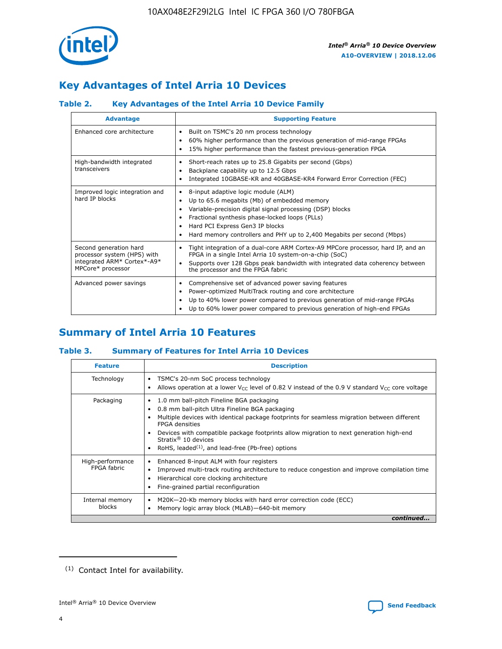

## **Key Advantages of Intel Arria 10 Devices**

#### **Table 2. Key Advantages of the Intel Arria 10 Device Family**

| <b>Advantage</b>                                                                                          | <b>Supporting Feature</b>                                                                                                                                                                                                                                                                                                |
|-----------------------------------------------------------------------------------------------------------|--------------------------------------------------------------------------------------------------------------------------------------------------------------------------------------------------------------------------------------------------------------------------------------------------------------------------|
| Enhanced core architecture                                                                                | Built on TSMC's 20 nm process technology<br>٠<br>60% higher performance than the previous generation of mid-range FPGAs<br>٠<br>15% higher performance than the fastest previous-generation FPGA<br>٠                                                                                                                    |
| High-bandwidth integrated<br>transceivers                                                                 | Short-reach rates up to 25.8 Gigabits per second (Gbps)<br>٠<br>Backplane capability up to 12.5 Gbps<br>٠<br>Integrated 10GBASE-KR and 40GBASE-KR4 Forward Error Correction (FEC)<br>٠                                                                                                                                   |
| Improved logic integration and<br>hard IP blocks                                                          | 8-input adaptive logic module (ALM)<br>٠<br>Up to 65.6 megabits (Mb) of embedded memory<br>٠<br>Variable-precision digital signal processing (DSP) blocks<br>Fractional synthesis phase-locked loops (PLLs)<br>Hard PCI Express Gen3 IP blocks<br>Hard memory controllers and PHY up to 2,400 Megabits per second (Mbps) |
| Second generation hard<br>processor system (HPS) with<br>integrated ARM* Cortex*-A9*<br>MPCore* processor | Tight integration of a dual-core ARM Cortex-A9 MPCore processor, hard IP, and an<br>٠<br>FPGA in a single Intel Arria 10 system-on-a-chip (SoC)<br>Supports over 128 Gbps peak bandwidth with integrated data coherency between<br>$\bullet$<br>the processor and the FPGA fabric                                        |
| Advanced power savings                                                                                    | Comprehensive set of advanced power saving features<br>٠<br>Power-optimized MultiTrack routing and core architecture<br>٠<br>Up to 40% lower power compared to previous generation of mid-range FPGAs<br>٠<br>Up to 60% lower power compared to previous generation of high-end FPGAs<br>٠                               |

## **Summary of Intel Arria 10 Features**

#### **Table 3. Summary of Features for Intel Arria 10 Devices**

| <b>Feature</b>                  | <b>Description</b>                                                                                                                                                                                                                                                                                                                                                                                       |
|---------------------------------|----------------------------------------------------------------------------------------------------------------------------------------------------------------------------------------------------------------------------------------------------------------------------------------------------------------------------------------------------------------------------------------------------------|
| Technology                      | TSMC's 20-nm SoC process technology<br>٠<br>Allows operation at a lower $V_{\text{CC}}$ level of 0.82 V instead of the 0.9 V standard $V_{\text{CC}}$ core voltage                                                                                                                                                                                                                                       |
| Packaging                       | 1.0 mm ball-pitch Fineline BGA packaging<br>0.8 mm ball-pitch Ultra Fineline BGA packaging<br>Multiple devices with identical package footprints for seamless migration between different<br><b>FPGA</b> densities<br>Devices with compatible package footprints allow migration to next generation high-end<br>Stratix $\mathcal{R}$ 10 devices<br>RoHS, leaded $(1)$ , and lead-free (Pb-free) options |
| High-performance<br>FPGA fabric | Enhanced 8-input ALM with four registers<br>٠<br>Improved multi-track routing architecture to reduce congestion and improve compilation time<br>Hierarchical core clocking architecture<br>Fine-grained partial reconfiguration                                                                                                                                                                          |
| Internal memory<br>blocks       | M20K-20-Kb memory blocks with hard error correction code (ECC)<br>Memory logic array block (MLAB)-640-bit memory                                                                                                                                                                                                                                                                                         |
|                                 | continued                                                                                                                                                                                                                                                                                                                                                                                                |



<sup>(1)</sup> Contact Intel for availability.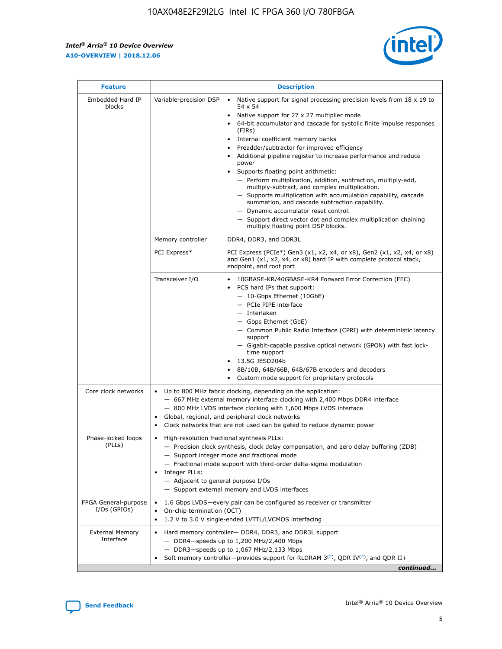$\mathsf{r}$ 



| <b>Feature</b>                         |                                                                                                                | <b>Description</b>                                                                                                                                                                                                                                                                                                                                                                                                                                                                                                                                                                                                                                                                                                                                                                                                                     |  |  |  |  |  |  |
|----------------------------------------|----------------------------------------------------------------------------------------------------------------|----------------------------------------------------------------------------------------------------------------------------------------------------------------------------------------------------------------------------------------------------------------------------------------------------------------------------------------------------------------------------------------------------------------------------------------------------------------------------------------------------------------------------------------------------------------------------------------------------------------------------------------------------------------------------------------------------------------------------------------------------------------------------------------------------------------------------------------|--|--|--|--|--|--|
| Embedded Hard IP<br>blocks             | Variable-precision DSP                                                                                         | Native support for signal processing precision levels from $18 \times 19$ to<br>54 x 54<br>Native support for 27 x 27 multiplier mode<br>64-bit accumulator and cascade for systolic finite impulse responses<br>(FIRs)<br>Internal coefficient memory banks<br>$\bullet$<br>Preadder/subtractor for improved efficiency<br>Additional pipeline register to increase performance and reduce<br>power<br>Supports floating point arithmetic:<br>- Perform multiplication, addition, subtraction, multiply-add,<br>multiply-subtract, and complex multiplication.<br>- Supports multiplication with accumulation capability, cascade<br>summation, and cascade subtraction capability.<br>- Dynamic accumulator reset control.<br>- Support direct vector dot and complex multiplication chaining<br>multiply floating point DSP blocks. |  |  |  |  |  |  |
|                                        | Memory controller                                                                                              | DDR4, DDR3, and DDR3L                                                                                                                                                                                                                                                                                                                                                                                                                                                                                                                                                                                                                                                                                                                                                                                                                  |  |  |  |  |  |  |
|                                        | PCI Express*                                                                                                   | PCI Express (PCIe*) Gen3 (x1, x2, x4, or x8), Gen2 (x1, x2, x4, or x8)<br>and Gen1 (x1, x2, x4, or x8) hard IP with complete protocol stack,<br>endpoint, and root port                                                                                                                                                                                                                                                                                                                                                                                                                                                                                                                                                                                                                                                                |  |  |  |  |  |  |
|                                        | Transceiver I/O                                                                                                | 10GBASE-KR/40GBASE-KR4 Forward Error Correction (FEC)<br>PCS hard IPs that support:<br>- 10-Gbps Ethernet (10GbE)<br>- PCIe PIPE interface<br>- Interlaken<br>- Gbps Ethernet (GbE)<br>- Common Public Radio Interface (CPRI) with deterministic latency<br>support<br>- Gigabit-capable passive optical network (GPON) with fast lock-<br>time support<br>13.5G JESD204b<br>8B/10B, 64B/66B, 64B/67B encoders and decoders<br>Custom mode support for proprietary protocols                                                                                                                                                                                                                                                                                                                                                           |  |  |  |  |  |  |
| Core clock networks                    | $\bullet$<br>$\bullet$                                                                                         | Up to 800 MHz fabric clocking, depending on the application:<br>- 667 MHz external memory interface clocking with 2,400 Mbps DDR4 interface<br>- 800 MHz LVDS interface clocking with 1,600 Mbps LVDS interface<br>Global, regional, and peripheral clock networks<br>Clock networks that are not used can be gated to reduce dynamic power                                                                                                                                                                                                                                                                                                                                                                                                                                                                                            |  |  |  |  |  |  |
| Phase-locked loops<br>(PLLs)           | High-resolution fractional synthesis PLLs:<br>$\bullet$<br>Integer PLLs:<br>- Adjacent to general purpose I/Os | - Precision clock synthesis, clock delay compensation, and zero delay buffering (ZDB)<br>- Support integer mode and fractional mode<br>- Fractional mode support with third-order delta-sigma modulation<br>- Support external memory and LVDS interfaces                                                                                                                                                                                                                                                                                                                                                                                                                                                                                                                                                                              |  |  |  |  |  |  |
| FPGA General-purpose<br>$I/Os$ (GPIOs) | $\bullet$<br>On-chip termination (OCT)                                                                         | 1.6 Gbps LVDS—every pair can be configured as receiver or transmitter<br>1.2 V to 3.0 V single-ended LVTTL/LVCMOS interfacing                                                                                                                                                                                                                                                                                                                                                                                                                                                                                                                                                                                                                                                                                                          |  |  |  |  |  |  |
| <b>External Memory</b><br>Interface    |                                                                                                                | Hard memory controller- DDR4, DDR3, and DDR3L support<br>- DDR4-speeds up to 1,200 MHz/2,400 Mbps<br>$-$ DDR3-speeds up to 1,067 MHz/2,133 Mbps<br>Soft memory controller—provides support for RLDRAM $3^{(2)}$ , QDR IV $(2^2)$ , and QDR II+<br>continued                                                                                                                                                                                                                                                                                                                                                                                                                                                                                                                                                                            |  |  |  |  |  |  |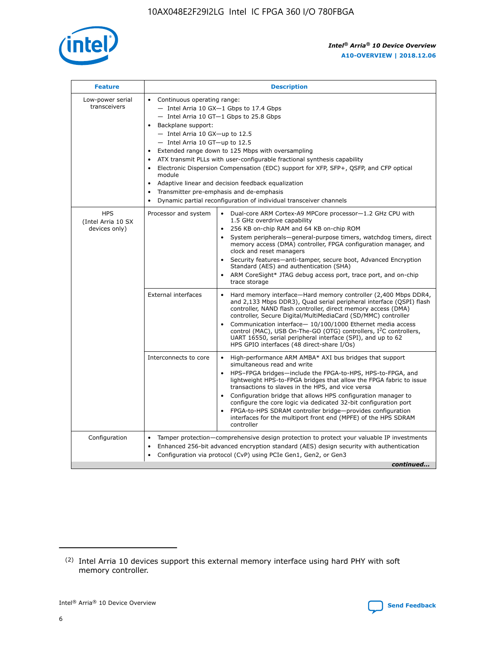

| <b>Feature</b>                                    | <b>Description</b>                                                                                                                                                                                                                                                                                                                                                                                                                                                                                                                                                                                                                                                        |
|---------------------------------------------------|---------------------------------------------------------------------------------------------------------------------------------------------------------------------------------------------------------------------------------------------------------------------------------------------------------------------------------------------------------------------------------------------------------------------------------------------------------------------------------------------------------------------------------------------------------------------------------------------------------------------------------------------------------------------------|
| Low-power serial<br>transceivers                  | • Continuous operating range:<br>- Intel Arria 10 GX-1 Gbps to 17.4 Gbps<br>$-$ Intel Arria 10 GT $-1$ Gbps to 25.8 Gbps<br>Backplane support:<br>$\bullet$<br>$-$ Intel Arria 10 GX-up to 12.5<br>$-$ Intel Arria 10 GT-up to 12.5<br>Extended range down to 125 Mbps with oversampling<br>ATX transmit PLLs with user-configurable fractional synthesis capability<br>Electronic Dispersion Compensation (EDC) support for XFP, SFP+, OSFP, and CFP optical<br>module<br>Adaptive linear and decision feedback equalization<br>$\bullet$<br>Transmitter pre-emphasis and de-emphasis<br>$\bullet$<br>Dynamic partial reconfiguration of individual transceiver channels |
| <b>HPS</b><br>(Intel Arria 10 SX<br>devices only) | Dual-core ARM Cortex-A9 MPCore processor-1.2 GHz CPU with<br>Processor and system<br>$\bullet$<br>1.5 GHz overdrive capability<br>256 KB on-chip RAM and 64 KB on-chip ROM<br>System peripherals-general-purpose timers, watchdog timers, direct<br>memory access (DMA) controller, FPGA configuration manager, and<br>clock and reset managers<br>• Security features—anti-tamper, secure boot, Advanced Encryption<br>Standard (AES) and authentication (SHA)<br>ARM CoreSight* JTAG debug access port, trace port, and on-chip<br>$\bullet$<br>trace storage                                                                                                           |
|                                                   | <b>External interfaces</b><br>Hard memory interface—Hard memory controller (2,400 Mbps DDR4,<br>and 2,133 Mbps DDR3), Quad serial peripheral interface (QSPI) flash<br>controller, NAND flash controller, direct memory access (DMA)<br>controller, Secure Digital/MultiMediaCard (SD/MMC) controller<br>Communication interface-10/100/1000 Ethernet media access<br>$\bullet$<br>control (MAC), USB On-The-GO (OTG) controllers, I <sup>2</sup> C controllers,<br>UART 16550, serial peripheral interface (SPI), and up to 62<br>HPS GPIO interfaces (48 direct-share I/Os)                                                                                             |
|                                                   | Interconnects to core<br>• High-performance ARM AMBA* AXI bus bridges that support<br>simultaneous read and write<br>HPS-FPGA bridges-include the FPGA-to-HPS, HPS-to-FPGA, and<br>$\bullet$<br>lightweight HPS-to-FPGA bridges that allow the FPGA fabric to issue<br>transactions to slaves in the HPS, and vice versa<br>Configuration bridge that allows HPS configuration manager to<br>configure the core logic via dedicated 32-bit configuration port<br>FPGA-to-HPS SDRAM controller bridge-provides configuration<br>interfaces for the multiport front end (MPFE) of the HPS SDRAM<br>controller                                                               |
| Configuration                                     | Tamper protection—comprehensive design protection to protect your valuable IP investments<br>Enhanced 256-bit advanced encryption standard (AES) design security with authentication<br>$\bullet$<br>Configuration via protocol (CvP) using PCIe Gen1, Gen2, or Gen3<br>continued                                                                                                                                                                                                                                                                                                                                                                                         |

<sup>(2)</sup> Intel Arria 10 devices support this external memory interface using hard PHY with soft memory controller.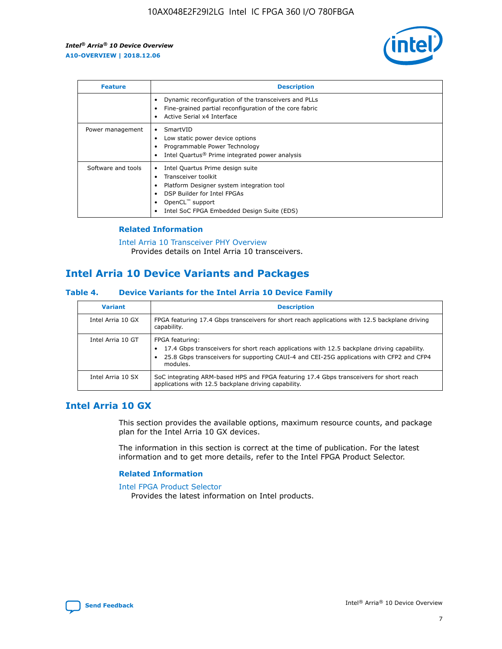

| <b>Feature</b>     | <b>Description</b>                                                                                                                                                                                                    |
|--------------------|-----------------------------------------------------------------------------------------------------------------------------------------------------------------------------------------------------------------------|
|                    | Dynamic reconfiguration of the transceivers and PLLs<br>Fine-grained partial reconfiguration of the core fabric<br>Active Serial x4 Interface<br>٠                                                                    |
| Power management   | SmartVID<br>Low static power device options<br>Programmable Power Technology<br>Intel Quartus <sup>®</sup> Prime integrated power analysis                                                                            |
| Software and tools | Intel Quartus Prime design suite<br>Transceiver toolkit<br>Platform Designer system integration tool<br>٠<br>DSP Builder for Intel FPGAs<br>OpenCL <sup>™</sup> support<br>Intel SoC FPGA Embedded Design Suite (EDS) |

#### **Related Information**

#### [Intel Arria 10 Transceiver PHY Overview](https://www.intel.com/content/www/us/en/programmable/documentation/nik1398707230472.html#nik1398706768037) Provides details on Intel Arria 10 transceivers.

## **Intel Arria 10 Device Variants and Packages**

#### **Table 4. Device Variants for the Intel Arria 10 Device Family**

| <b>Variant</b>    | <b>Description</b>                                                                                                                                                                                                     |
|-------------------|------------------------------------------------------------------------------------------------------------------------------------------------------------------------------------------------------------------------|
| Intel Arria 10 GX | FPGA featuring 17.4 Gbps transceivers for short reach applications with 12.5 backplane driving<br>capability.                                                                                                          |
| Intel Arria 10 GT | FPGA featuring:<br>17.4 Gbps transceivers for short reach applications with 12.5 backplane driving capability.<br>25.8 Gbps transceivers for supporting CAUI-4 and CEI-25G applications with CFP2 and CFP4<br>modules. |
| Intel Arria 10 SX | SoC integrating ARM-based HPS and FPGA featuring 17.4 Gbps transceivers for short reach<br>applications with 12.5 backplane driving capability.                                                                        |

### **Intel Arria 10 GX**

This section provides the available options, maximum resource counts, and package plan for the Intel Arria 10 GX devices.

The information in this section is correct at the time of publication. For the latest information and to get more details, refer to the Intel FPGA Product Selector.

#### **Related Information**

#### [Intel FPGA Product Selector](http://www.altera.com/products/selector/psg-selector.html) Provides the latest information on Intel products.

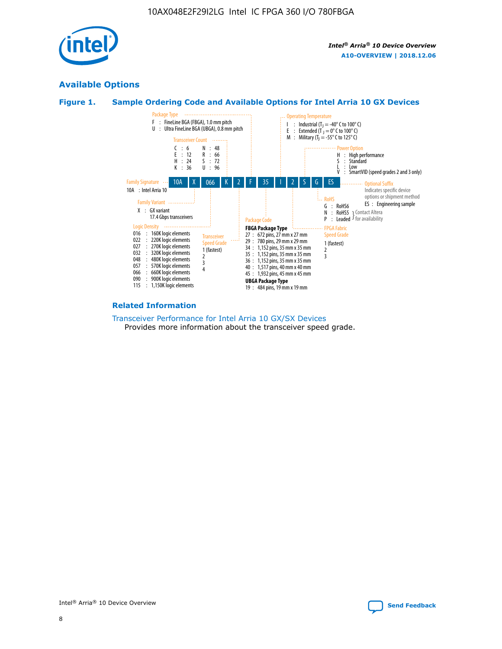

### **Available Options**





#### **Related Information**

[Transceiver Performance for Intel Arria 10 GX/SX Devices](https://www.intel.com/content/www/us/en/programmable/documentation/mcn1413182292568.html#mcn1413213965502) Provides more information about the transceiver speed grade.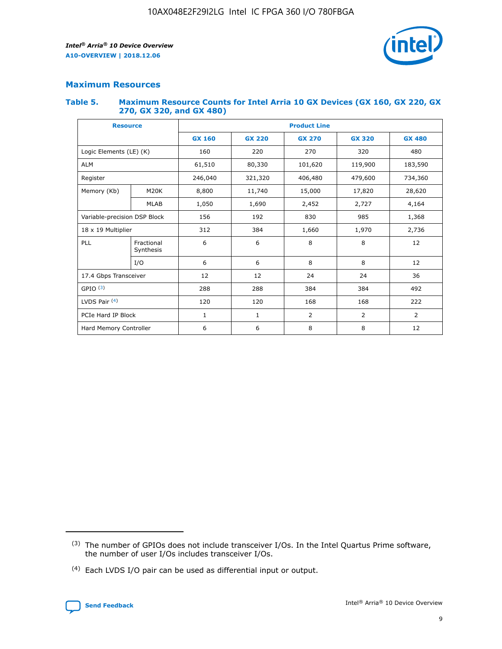

### **Maximum Resources**

#### **Table 5. Maximum Resource Counts for Intel Arria 10 GX Devices (GX 160, GX 220, GX 270, GX 320, and GX 480)**

| <b>Resource</b>              |                         | <b>Product Line</b> |                                                 |                    |                |                |  |  |  |
|------------------------------|-------------------------|---------------------|-------------------------------------------------|--------------------|----------------|----------------|--|--|--|
|                              |                         | <b>GX 160</b>       | <b>GX 220</b><br><b>GX 270</b><br><b>GX 320</b> |                    |                | <b>GX 480</b>  |  |  |  |
| Logic Elements (LE) (K)      |                         | 160                 | 220                                             | 270                | 320            | 480            |  |  |  |
| <b>ALM</b>                   |                         | 61,510              | 80,330                                          | 101,620            | 119,900        | 183,590        |  |  |  |
| Register                     |                         | 246,040             | 321,320                                         | 406,480<br>479,600 |                | 734,360        |  |  |  |
| Memory (Kb)                  | M <sub>20</sub> K       | 8,800               | 11,740                                          | 15,000             | 17,820         | 28,620         |  |  |  |
|                              | <b>MLAB</b>             | 1,050               | 1,690                                           | 2,452              | 2,727          | 4,164          |  |  |  |
| Variable-precision DSP Block |                         | 156                 | 192                                             | 830                | 985<br>1,368   |                |  |  |  |
|                              | 18 x 19 Multiplier      |                     | 384                                             | 1,660              | 1,970          | 2,736          |  |  |  |
| PLL                          | Fractional<br>Synthesis | 6                   | 6                                               | 8                  | 8              | 12             |  |  |  |
|                              | I/O                     | 6                   | 6                                               | 8                  | 8              | 12             |  |  |  |
| 17.4 Gbps Transceiver        |                         | 12                  | 12                                              | 24<br>24           |                | 36             |  |  |  |
| GPIO <sup>(3)</sup>          |                         | 288                 | 288                                             | 384<br>384         |                | 492            |  |  |  |
| LVDS Pair $(4)$              |                         | 120                 | 120                                             | 168                | 168            | 222            |  |  |  |
| PCIe Hard IP Block           |                         | 1                   | 1                                               | 2                  | $\overline{2}$ | $\overline{2}$ |  |  |  |
| Hard Memory Controller       |                         | 6                   | 6                                               | 8                  | 8              | 12             |  |  |  |

<sup>(4)</sup> Each LVDS I/O pair can be used as differential input or output.



<sup>(3)</sup> The number of GPIOs does not include transceiver I/Os. In the Intel Quartus Prime software, the number of user I/Os includes transceiver I/Os.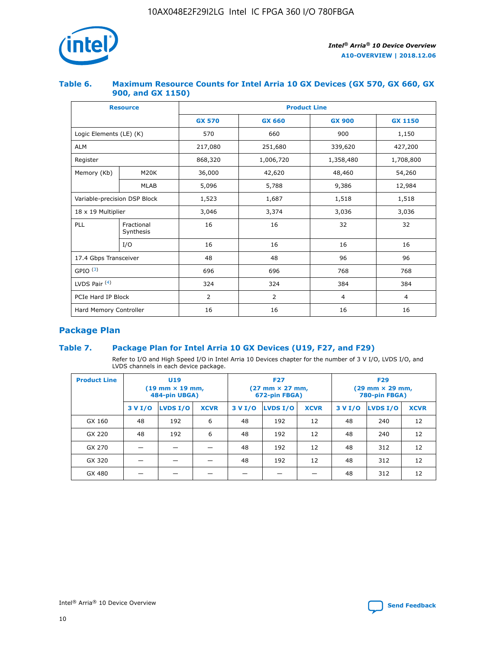

#### **Table 6. Maximum Resource Counts for Intel Arria 10 GX Devices (GX 570, GX 660, GX 900, and GX 1150)**

| <b>Resource</b>              |                         | <b>Product Line</b> |                |                |                |  |  |  |  |
|------------------------------|-------------------------|---------------------|----------------|----------------|----------------|--|--|--|--|
|                              |                         | <b>GX 570</b>       | <b>GX 660</b>  | <b>GX 900</b>  | <b>GX 1150</b> |  |  |  |  |
| Logic Elements (LE) (K)      |                         | 570                 | 660            | 900            | 1,150          |  |  |  |  |
| <b>ALM</b>                   |                         | 217,080             | 251,680        | 339,620        | 427,200        |  |  |  |  |
| Register                     |                         | 868,320             | 1,006,720      | 1,358,480      | 1,708,800      |  |  |  |  |
| Memory (Kb)                  | <b>M20K</b>             | 36,000              | 42,620         | 48,460         | 54,260         |  |  |  |  |
|                              | <b>MLAB</b>             | 5,096               | 5,788          | 9,386          | 12,984         |  |  |  |  |
| Variable-precision DSP Block |                         | 1,523               | 1,687          | 1,518          | 1,518          |  |  |  |  |
| $18 \times 19$ Multiplier    |                         | 3,046               | 3,374          | 3,036          | 3,036          |  |  |  |  |
| PLL                          | Fractional<br>Synthesis | 16                  | 16             | 32             | 32             |  |  |  |  |
|                              | I/O                     | 16                  | 16             | 16             | 16             |  |  |  |  |
| 17.4 Gbps Transceiver        |                         | 48                  | 48             | 96             | 96             |  |  |  |  |
| GPIO <sup>(3)</sup>          |                         | 696                 | 696            | 768            | 768            |  |  |  |  |
| LVDS Pair $(4)$              |                         | 324                 | 324            | 384            | 384            |  |  |  |  |
| PCIe Hard IP Block           |                         | $\overline{2}$      | $\overline{2}$ | $\overline{4}$ | $\overline{4}$ |  |  |  |  |
| Hard Memory Controller       |                         | 16                  | 16             | 16             | 16             |  |  |  |  |

## **Package Plan**

#### **Table 7. Package Plan for Intel Arria 10 GX Devices (U19, F27, and F29)**

Refer to I/O and High Speed I/O in Intel Arria 10 Devices chapter for the number of 3 V I/O, LVDS I/O, and LVDS channels in each device package.

| <b>Product Line</b> | <b>U19</b><br>$(19 \text{ mm} \times 19 \text{ mm})$<br>484-pin UBGA) |          |             |         | <b>F27</b><br>(27 mm × 27 mm,<br>672-pin FBGA) |             | <b>F29</b><br>(29 mm × 29 mm,<br>780-pin FBGA) |          |             |  |
|---------------------|-----------------------------------------------------------------------|----------|-------------|---------|------------------------------------------------|-------------|------------------------------------------------|----------|-------------|--|
|                     | 3 V I/O                                                               | LVDS I/O | <b>XCVR</b> | 3 V I/O | LVDS I/O                                       | <b>XCVR</b> | 3 V I/O                                        | LVDS I/O | <b>XCVR</b> |  |
| GX 160              | 48                                                                    | 192      | 6           | 48      | 192                                            | 12          | 48                                             | 240      | 12          |  |
| GX 220              | 48                                                                    | 192      | 6           | 48      | 192                                            | 12          | 48                                             | 240      | 12          |  |
| GX 270              |                                                                       |          |             | 48      | 192                                            | 12          | 48                                             | 312      | 12          |  |
| GX 320              |                                                                       |          |             | 48      | 192                                            | 12          | 48                                             | 312      | 12          |  |
| GX 480              |                                                                       |          |             |         |                                                |             | 48                                             | 312      | 12          |  |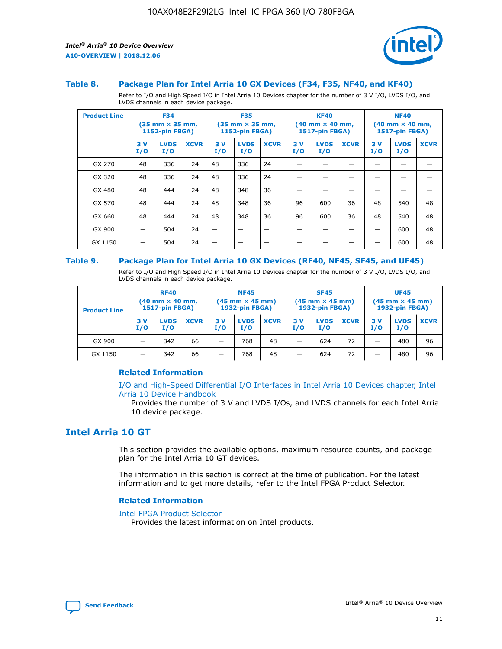

#### **Table 8. Package Plan for Intel Arria 10 GX Devices (F34, F35, NF40, and KF40)**

Refer to I/O and High Speed I/O in Intel Arria 10 Devices chapter for the number of 3 V I/O, LVDS I/O, and LVDS channels in each device package.

| <b>Product Line</b> | <b>F34</b><br>$(35 \text{ mm} \times 35 \text{ mm})$<br>1152-pin FBGA) |                    | <b>F35</b><br>$(35$ mm $\times$ 35 mm,<br>1152-pin FBGA) |           | <b>KF40</b><br>$(40$ mm $\times$ 40 mm,<br>1517-pin FBGA) |             |           | <b>NF40</b><br>$(40$ mm $\times$ 40 mm,<br><b>1517-pin FBGA)</b> |             |            |                    |             |
|---------------------|------------------------------------------------------------------------|--------------------|----------------------------------------------------------|-----------|-----------------------------------------------------------|-------------|-----------|------------------------------------------------------------------|-------------|------------|--------------------|-------------|
|                     | 3V<br>I/O                                                              | <b>LVDS</b><br>I/O | <b>XCVR</b>                                              | 3V<br>I/O | <b>LVDS</b><br>I/O                                        | <b>XCVR</b> | 3V<br>I/O | <b>LVDS</b><br>I/O                                               | <b>XCVR</b> | 3 V<br>I/O | <b>LVDS</b><br>I/O | <b>XCVR</b> |
| GX 270              | 48                                                                     | 336                | 24                                                       | 48        | 336                                                       | 24          |           |                                                                  |             |            |                    |             |
| GX 320              | 48                                                                     | 336                | 24                                                       | 48        | 336                                                       | 24          |           |                                                                  |             |            |                    |             |
| GX 480              | 48                                                                     | 444                | 24                                                       | 48        | 348                                                       | 36          |           |                                                                  |             |            |                    |             |
| GX 570              | 48                                                                     | 444                | 24                                                       | 48        | 348                                                       | 36          | 96        | 600                                                              | 36          | 48         | 540                | 48          |
| GX 660              | 48                                                                     | 444                | 24                                                       | 48        | 348                                                       | 36          | 96        | 600                                                              | 36          | 48         | 540                | 48          |
| GX 900              |                                                                        | 504                | 24                                                       | –         |                                                           | -           |           |                                                                  |             |            | 600                | 48          |
| GX 1150             |                                                                        | 504                | 24                                                       |           |                                                           |             |           |                                                                  |             |            | 600                | 48          |

#### **Table 9. Package Plan for Intel Arria 10 GX Devices (RF40, NF45, SF45, and UF45)**

Refer to I/O and High Speed I/O in Intel Arria 10 Devices chapter for the number of 3 V I/O, LVDS I/O, and LVDS channels in each device package.

| <b>Product Line</b> | <b>RF40</b><br>$(40$ mm $\times$ 40 mm,<br>1517-pin FBGA) |                    |             | <b>NF45</b><br>$(45 \text{ mm} \times 45 \text{ mm})$<br><b>1932-pin FBGA)</b> |                    |             | <b>SF45</b><br>$(45 \text{ mm} \times 45 \text{ mm})$<br><b>1932-pin FBGA)</b> |                    |             | <b>UF45</b><br>$(45 \text{ mm} \times 45 \text{ mm})$<br><b>1932-pin FBGA)</b> |                    |             |
|---------------------|-----------------------------------------------------------|--------------------|-------------|--------------------------------------------------------------------------------|--------------------|-------------|--------------------------------------------------------------------------------|--------------------|-------------|--------------------------------------------------------------------------------|--------------------|-------------|
|                     | 3V<br>I/O                                                 | <b>LVDS</b><br>I/O | <b>XCVR</b> | 3 V<br>I/O                                                                     | <b>LVDS</b><br>I/O | <b>XCVR</b> | 3 V<br>I/O                                                                     | <b>LVDS</b><br>I/O | <b>XCVR</b> | 3V<br>I/O                                                                      | <b>LVDS</b><br>I/O | <b>XCVR</b> |
| GX 900              |                                                           | 342                | 66          | _                                                                              | 768                | 48          |                                                                                | 624                | 72          |                                                                                | 480                | 96          |
| GX 1150             |                                                           | 342                | 66          | _                                                                              | 768                | 48          |                                                                                | 624                | 72          |                                                                                | 480                | 96          |

#### **Related Information**

[I/O and High-Speed Differential I/O Interfaces in Intel Arria 10 Devices chapter, Intel](https://www.intel.com/content/www/us/en/programmable/documentation/sam1403482614086.html#sam1403482030321) [Arria 10 Device Handbook](https://www.intel.com/content/www/us/en/programmable/documentation/sam1403482614086.html#sam1403482030321)

Provides the number of 3 V and LVDS I/Os, and LVDS channels for each Intel Arria 10 device package.

## **Intel Arria 10 GT**

This section provides the available options, maximum resource counts, and package plan for the Intel Arria 10 GT devices.

The information in this section is correct at the time of publication. For the latest information and to get more details, refer to the Intel FPGA Product Selector.

#### **Related Information**

#### [Intel FPGA Product Selector](http://www.altera.com/products/selector/psg-selector.html)

Provides the latest information on Intel products.

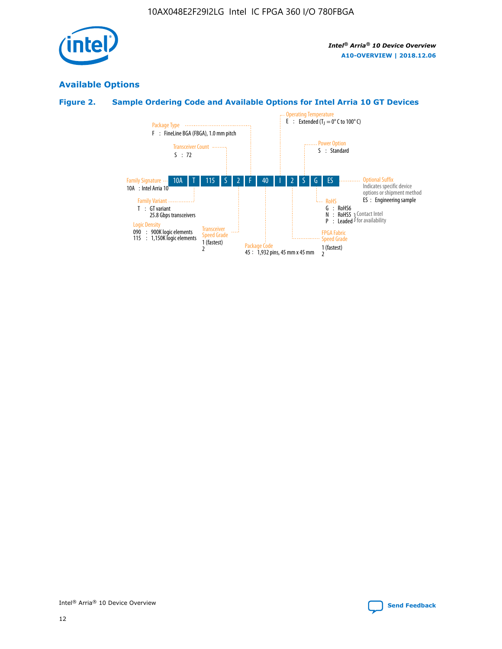

### **Available Options**

#### **Figure 2. Sample Ordering Code and Available Options for Intel Arria 10 GT Devices**

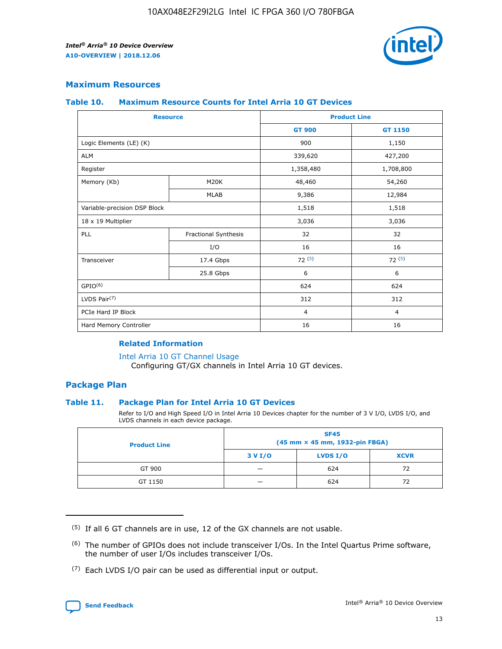

#### **Maximum Resources**

#### **Table 10. Maximum Resource Counts for Intel Arria 10 GT Devices**

| <b>Resource</b>              |                      | <b>Product Line</b> |                |  |
|------------------------------|----------------------|---------------------|----------------|--|
|                              |                      | <b>GT 900</b>       | <b>GT 1150</b> |  |
| Logic Elements (LE) (K)      |                      | 900                 | 1,150          |  |
| <b>ALM</b>                   |                      | 339,620             | 427,200        |  |
| Register                     |                      | 1,358,480           | 1,708,800      |  |
| Memory (Kb)                  | M20K                 | 48,460              | 54,260         |  |
|                              | <b>MLAB</b>          | 9,386               | 12,984         |  |
| Variable-precision DSP Block |                      | 1,518               | 1,518          |  |
| 18 x 19 Multiplier           |                      | 3,036               | 3,036          |  |
| PLL                          | Fractional Synthesis | 32                  | 32             |  |
|                              | I/O                  | 16                  | 16             |  |
| Transceiver                  | 17.4 Gbps            | 72(5)               | 72(5)          |  |
|                              | 25.8 Gbps            | 6                   | 6              |  |
| GPIO <sup>(6)</sup>          |                      | 624                 | 624            |  |
| LVDS Pair $(7)$              |                      | 312                 | 312            |  |
| PCIe Hard IP Block           |                      | $\overline{4}$      | $\overline{4}$ |  |
| Hard Memory Controller       |                      | 16                  | 16             |  |

#### **Related Information**

#### [Intel Arria 10 GT Channel Usage](https://www.intel.com/content/www/us/en/programmable/documentation/nik1398707230472.html#nik1398707008178)

Configuring GT/GX channels in Intel Arria 10 GT devices.

#### **Package Plan**

#### **Table 11. Package Plan for Intel Arria 10 GT Devices**

Refer to I/O and High Speed I/O in Intel Arria 10 Devices chapter for the number of 3 V I/O, LVDS I/O, and LVDS channels in each device package.

| <b>Product Line</b> | <b>SF45</b><br>(45 mm × 45 mm, 1932-pin FBGA) |                 |             |  |  |  |
|---------------------|-----------------------------------------------|-----------------|-------------|--|--|--|
|                     | 3 V I/O                                       | <b>LVDS I/O</b> | <b>XCVR</b> |  |  |  |
| GT 900              |                                               | 624             | 72          |  |  |  |
| GT 1150             |                                               | 624             | 72          |  |  |  |

<sup>(7)</sup> Each LVDS I/O pair can be used as differential input or output.



 $(5)$  If all 6 GT channels are in use, 12 of the GX channels are not usable.

<sup>(6)</sup> The number of GPIOs does not include transceiver I/Os. In the Intel Quartus Prime software, the number of user I/Os includes transceiver I/Os.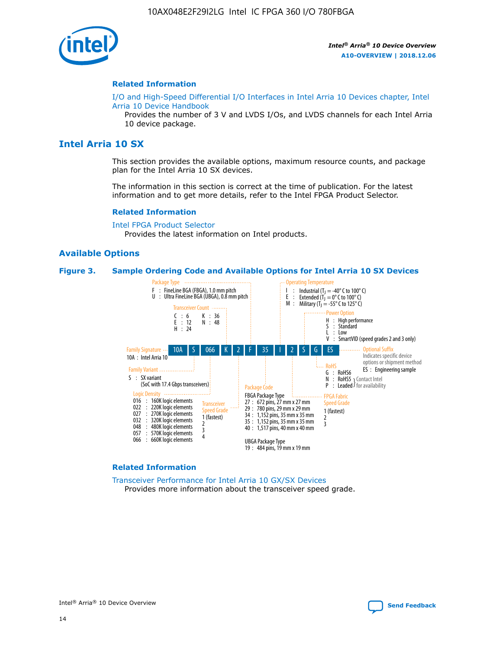

#### **Related Information**

[I/O and High-Speed Differential I/O Interfaces in Intel Arria 10 Devices chapter, Intel](https://www.intel.com/content/www/us/en/programmable/documentation/sam1403482614086.html#sam1403482030321) [Arria 10 Device Handbook](https://www.intel.com/content/www/us/en/programmable/documentation/sam1403482614086.html#sam1403482030321)

Provides the number of 3 V and LVDS I/Os, and LVDS channels for each Intel Arria 10 device package.

#### **Intel Arria 10 SX**

This section provides the available options, maximum resource counts, and package plan for the Intel Arria 10 SX devices.

The information in this section is correct at the time of publication. For the latest information and to get more details, refer to the Intel FPGA Product Selector.

#### **Related Information**

[Intel FPGA Product Selector](http://www.altera.com/products/selector/psg-selector.html) Provides the latest information on Intel products.

#### **Available Options**

#### **Figure 3. Sample Ordering Code and Available Options for Intel Arria 10 SX Devices**



#### **Related Information**

[Transceiver Performance for Intel Arria 10 GX/SX Devices](https://www.intel.com/content/www/us/en/programmable/documentation/mcn1413182292568.html#mcn1413213965502) Provides more information about the transceiver speed grade.

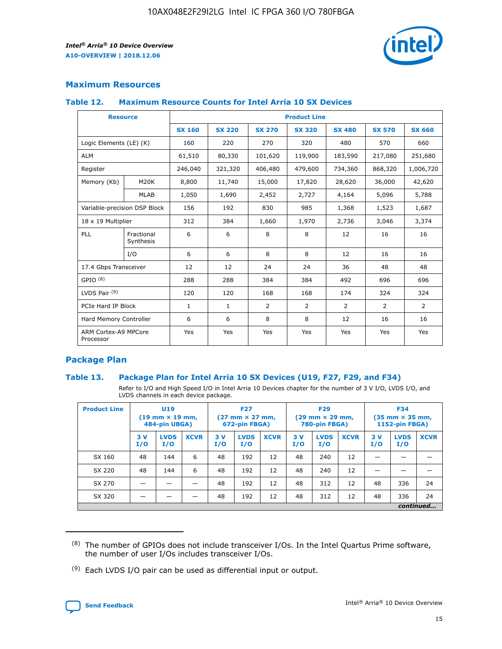

#### **Maximum Resources**

#### **Table 12. Maximum Resource Counts for Intel Arria 10 SX Devices**

|                                   | <b>Resource</b>         | <b>Product Line</b> |               |                |                |                |                |                |  |  |  |
|-----------------------------------|-------------------------|---------------------|---------------|----------------|----------------|----------------|----------------|----------------|--|--|--|
|                                   |                         | <b>SX 160</b>       | <b>SX 220</b> | <b>SX 270</b>  | <b>SX 320</b>  | <b>SX 480</b>  | <b>SX 570</b>  | <b>SX 660</b>  |  |  |  |
| Logic Elements (LE) (K)           |                         | 160                 | 220           | 270            | 320            | 480            | 570            | 660            |  |  |  |
| <b>ALM</b>                        |                         | 61,510              | 80,330        | 101,620        | 119,900        | 183,590        | 217,080        | 251,680        |  |  |  |
| Register                          |                         | 246,040             | 321,320       | 406,480        | 479,600        | 734,360        | 868,320        | 1,006,720      |  |  |  |
| Memory (Kb)                       | M <sub>20</sub> K       | 8,800               | 11,740        | 15,000         | 17,820         | 28,620         | 36,000         | 42,620         |  |  |  |
|                                   | <b>MLAB</b>             | 1,050               | 1,690         | 2,452          | 2,727          | 4,164          | 5,096          | 5,788          |  |  |  |
| Variable-precision DSP Block      |                         | 156                 | 192           | 830            | 985            | 1,368          | 1,523          | 1,687          |  |  |  |
| 18 x 19 Multiplier                |                         | 312                 | 384           | 1,660          | 1,970          | 2,736          | 3,046          | 3,374          |  |  |  |
| <b>PLL</b>                        | Fractional<br>Synthesis | 6                   | 6             | 8              | 8              | 12             | 16             | 16             |  |  |  |
|                                   | I/O                     | 6                   | 6             | 8              | 8              | 12             | 16             | 16             |  |  |  |
| 17.4 Gbps Transceiver             |                         | 12                  | 12            | 24             | 24             | 36             | 48             | 48             |  |  |  |
| GPIO <sup>(8)</sup>               |                         | 288                 | 288           | 384            | 384            | 492            | 696            | 696            |  |  |  |
| LVDS Pair $(9)$                   |                         | 120                 | 120           | 168            | 168            | 174            | 324            | 324            |  |  |  |
| PCIe Hard IP Block                |                         | $\mathbf{1}$        | $\mathbf{1}$  | $\overline{2}$ | $\overline{2}$ | $\overline{2}$ | $\overline{2}$ | $\overline{2}$ |  |  |  |
| Hard Memory Controller            |                         | 6                   | 6             | 8              | 8              | 12             | 16             | 16             |  |  |  |
| ARM Cortex-A9 MPCore<br>Processor |                         | Yes                 | Yes           | Yes            | Yes            | Yes            | Yes            | Yes            |  |  |  |

#### **Package Plan**

#### **Table 13. Package Plan for Intel Arria 10 SX Devices (U19, F27, F29, and F34)**

Refer to I/O and High Speed I/O in Intel Arria 10 Devices chapter for the number of 3 V I/O, LVDS I/O, and LVDS channels in each device package.

| <b>Product Line</b> | <b>U19</b><br>$(19 \text{ mm} \times 19 \text{ mm})$<br>484-pin UBGA) |                    |             | <b>F27</b><br>$(27 \text{ mm} \times 27 \text{ mm})$<br>672-pin FBGA) |                    | <b>F29</b><br>$(29 \text{ mm} \times 29 \text{ mm})$<br>780-pin FBGA) |           |                    | <b>F34</b><br>$(35 \text{ mm} \times 35 \text{ mm})$<br><b>1152-pin FBGA)</b> |           |                    |             |
|---------------------|-----------------------------------------------------------------------|--------------------|-------------|-----------------------------------------------------------------------|--------------------|-----------------------------------------------------------------------|-----------|--------------------|-------------------------------------------------------------------------------|-----------|--------------------|-------------|
|                     | 3V<br>I/O                                                             | <b>LVDS</b><br>I/O | <b>XCVR</b> | 3V<br>I/O                                                             | <b>LVDS</b><br>I/O | <b>XCVR</b>                                                           | 3V<br>I/O | <b>LVDS</b><br>I/O | <b>XCVR</b>                                                                   | 3V<br>I/O | <b>LVDS</b><br>I/O | <b>XCVR</b> |
| SX 160              | 48                                                                    | 144                | 6           | 48                                                                    | 192                | 12                                                                    | 48        | 240                | 12                                                                            | -         |                    |             |
| SX 220              | 48                                                                    | 144                | 6           | 48                                                                    | 192                | 12                                                                    | 48        | 240                | 12                                                                            |           |                    |             |
| SX 270              |                                                                       |                    |             | 48                                                                    | 192                | 12                                                                    | 48        | 312                | 12                                                                            | 48        | 336                | 24          |
| SX 320              |                                                                       |                    |             | 48                                                                    | 192                | 12                                                                    | 48        | 312                | 12                                                                            | 48        | 336                | 24          |
|                     |                                                                       |                    |             |                                                                       |                    |                                                                       |           |                    |                                                                               |           |                    | continued   |

 $(8)$  The number of GPIOs does not include transceiver I/Os. In the Intel Quartus Prime software, the number of user I/Os includes transceiver I/Os.

 $(9)$  Each LVDS I/O pair can be used as differential input or output.

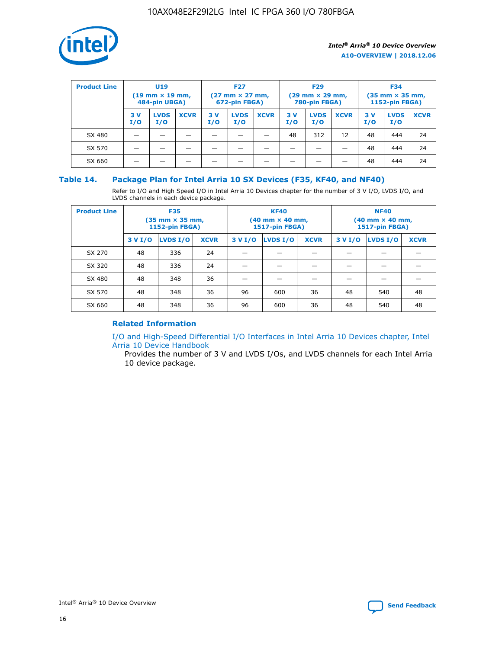

| <b>Product Line</b> | U <sub>19</sub><br>$(19 \text{ mm} \times 19 \text{ mm})$<br>484-pin UBGA) |                    | <b>F27</b><br>$(27 \text{ mm} \times 27 \text{ mm})$<br>672-pin FBGA) |           | <b>F29</b><br>$(29 \text{ mm} \times 29 \text{ mm})$<br>780-pin FBGA) |             |           | <b>F34</b><br>$(35$ mm $\times$ 35 mm,<br><b>1152-pin FBGA)</b> |             |           |                    |             |
|---------------------|----------------------------------------------------------------------------|--------------------|-----------------------------------------------------------------------|-----------|-----------------------------------------------------------------------|-------------|-----------|-----------------------------------------------------------------|-------------|-----------|--------------------|-------------|
|                     | 3V<br>I/O                                                                  | <b>LVDS</b><br>I/O | <b>XCVR</b>                                                           | 3V<br>I/O | <b>LVDS</b><br>I/O                                                    | <b>XCVR</b> | 3V<br>I/O | <b>LVDS</b><br>I/O                                              | <b>XCVR</b> | 3V<br>I/O | <b>LVDS</b><br>I/O | <b>XCVR</b> |
| SX 480              |                                                                            |                    |                                                                       |           |                                                                       |             | 48        | 312                                                             | 12          | 48        | 444                | 24          |
| SX 570              |                                                                            |                    |                                                                       |           |                                                                       |             |           |                                                                 |             | 48        | 444                | 24          |
| SX 660              |                                                                            |                    |                                                                       |           |                                                                       |             |           |                                                                 |             | 48        | 444                | 24          |

#### **Table 14. Package Plan for Intel Arria 10 SX Devices (F35, KF40, and NF40)**

Refer to I/O and High Speed I/O in Intel Arria 10 Devices chapter for the number of 3 V I/O, LVDS I/O, and LVDS channels in each device package.

| <b>Product Line</b> | <b>F35</b><br>$(35 \text{ mm} \times 35 \text{ mm})$<br><b>1152-pin FBGA)</b> |          |             |                                           | <b>KF40</b><br>(40 mm × 40 mm,<br>1517-pin FBGA) |    | <b>NF40</b><br>$(40 \text{ mm} \times 40 \text{ mm})$<br>1517-pin FBGA) |          |             |  |
|---------------------|-------------------------------------------------------------------------------|----------|-------------|-------------------------------------------|--------------------------------------------------|----|-------------------------------------------------------------------------|----------|-------------|--|
|                     | 3 V I/O                                                                       | LVDS I/O | <b>XCVR</b> | <b>LVDS I/O</b><br><b>XCVR</b><br>3 V I/O |                                                  |    | 3 V I/O                                                                 | LVDS I/O | <b>XCVR</b> |  |
| SX 270              | 48                                                                            | 336      | 24          |                                           |                                                  |    |                                                                         |          |             |  |
| SX 320              | 48                                                                            | 336      | 24          |                                           |                                                  |    |                                                                         |          |             |  |
| SX 480              | 48                                                                            | 348      | 36          |                                           |                                                  |    |                                                                         |          |             |  |
| SX 570              | 48                                                                            | 348      | 36          | 96                                        | 600                                              | 36 | 48                                                                      | 540      | 48          |  |
| SX 660              | 48                                                                            | 348      | 36          | 96                                        | 600                                              | 36 | 48                                                                      | 540      | 48          |  |

#### **Related Information**

[I/O and High-Speed Differential I/O Interfaces in Intel Arria 10 Devices chapter, Intel](https://www.intel.com/content/www/us/en/programmable/documentation/sam1403482614086.html#sam1403482030321) [Arria 10 Device Handbook](https://www.intel.com/content/www/us/en/programmable/documentation/sam1403482614086.html#sam1403482030321)

Provides the number of 3 V and LVDS I/Os, and LVDS channels for each Intel Arria 10 device package.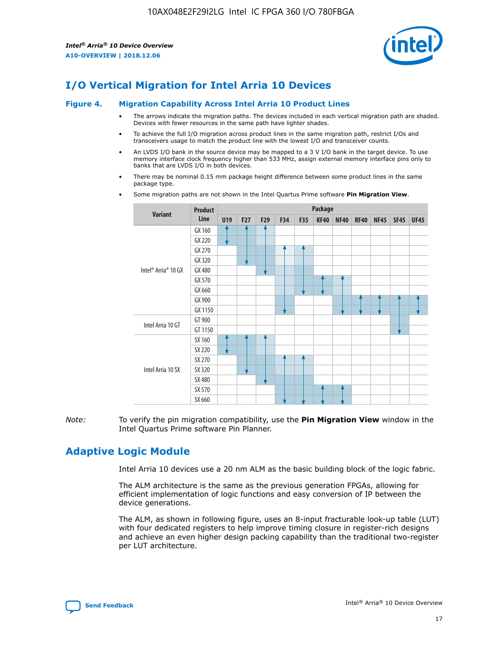

## **I/O Vertical Migration for Intel Arria 10 Devices**

#### **Figure 4. Migration Capability Across Intel Arria 10 Product Lines**

- The arrows indicate the migration paths. The devices included in each vertical migration path are shaded. Devices with fewer resources in the same path have lighter shades.
- To achieve the full I/O migration across product lines in the same migration path, restrict I/Os and transceivers usage to match the product line with the lowest I/O and transceiver counts.
- An LVDS I/O bank in the source device may be mapped to a 3 V I/O bank in the target device. To use memory interface clock frequency higher than 533 MHz, assign external memory interface pins only to banks that are LVDS I/O in both devices.
- There may be nominal 0.15 mm package height difference between some product lines in the same package type.
	- **Variant Product Line Package U19 F27 F29 F34 F35 KF40 NF40 RF40 NF45 SF45 UF45** Intel® Arria® 10 GX GX 160 GX 220 GX 270 GX 320 GX 480 GX 570 GX 660 GX 900 GX 1150 Intel Arria 10 GT GT 900 GT 1150 Intel Arria 10 SX SX 160 SX 220 SX 270 SX 320 SX 480 SX 570 SX 660
- Some migration paths are not shown in the Intel Quartus Prime software **Pin Migration View**.

*Note:* To verify the pin migration compatibility, use the **Pin Migration View** window in the Intel Quartus Prime software Pin Planner.

## **Adaptive Logic Module**

Intel Arria 10 devices use a 20 nm ALM as the basic building block of the logic fabric.

The ALM architecture is the same as the previous generation FPGAs, allowing for efficient implementation of logic functions and easy conversion of IP between the device generations.

The ALM, as shown in following figure, uses an 8-input fracturable look-up table (LUT) with four dedicated registers to help improve timing closure in register-rich designs and achieve an even higher design packing capability than the traditional two-register per LUT architecture.

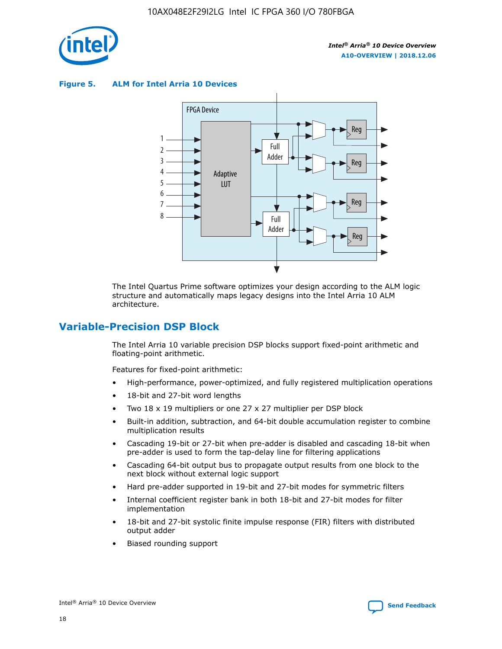

**Figure 5. ALM for Intel Arria 10 Devices**



The Intel Quartus Prime software optimizes your design according to the ALM logic structure and automatically maps legacy designs into the Intel Arria 10 ALM architecture.

## **Variable-Precision DSP Block**

The Intel Arria 10 variable precision DSP blocks support fixed-point arithmetic and floating-point arithmetic.

Features for fixed-point arithmetic:

- High-performance, power-optimized, and fully registered multiplication operations
- 18-bit and 27-bit word lengths
- Two 18 x 19 multipliers or one 27 x 27 multiplier per DSP block
- Built-in addition, subtraction, and 64-bit double accumulation register to combine multiplication results
- Cascading 19-bit or 27-bit when pre-adder is disabled and cascading 18-bit when pre-adder is used to form the tap-delay line for filtering applications
- Cascading 64-bit output bus to propagate output results from one block to the next block without external logic support
- Hard pre-adder supported in 19-bit and 27-bit modes for symmetric filters
- Internal coefficient register bank in both 18-bit and 27-bit modes for filter implementation
- 18-bit and 27-bit systolic finite impulse response (FIR) filters with distributed output adder
- Biased rounding support

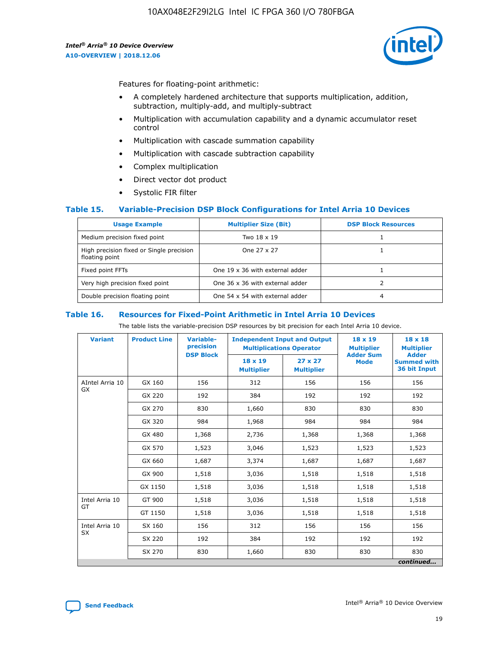

Features for floating-point arithmetic:

- A completely hardened architecture that supports multiplication, addition, subtraction, multiply-add, and multiply-subtract
- Multiplication with accumulation capability and a dynamic accumulator reset control
- Multiplication with cascade summation capability
- Multiplication with cascade subtraction capability
- Complex multiplication
- Direct vector dot product
- Systolic FIR filter

#### **Table 15. Variable-Precision DSP Block Configurations for Intel Arria 10 Devices**

| <b>Usage Example</b>                                       | <b>Multiplier Size (Bit)</b>    | <b>DSP Block Resources</b> |
|------------------------------------------------------------|---------------------------------|----------------------------|
| Medium precision fixed point                               | Two 18 x 19                     |                            |
| High precision fixed or Single precision<br>floating point | One 27 x 27                     |                            |
| Fixed point FFTs                                           | One 19 x 36 with external adder |                            |
| Very high precision fixed point                            | One 36 x 36 with external adder |                            |
| Double precision floating point                            | One 54 x 54 with external adder | 4                          |

#### **Table 16. Resources for Fixed-Point Arithmetic in Intel Arria 10 Devices**

The table lists the variable-precision DSP resources by bit precision for each Intel Arria 10 device.

| <b>Variant</b>  | <b>Product Line</b> | Variable-<br>precision<br><b>DSP Block</b> | <b>Independent Input and Output</b><br><b>Multiplications Operator</b> |                                     | 18 x 19<br><b>Multiplier</b><br><b>Adder Sum</b> | $18 \times 18$<br><b>Multiplier</b><br><b>Adder</b> |
|-----------------|---------------------|--------------------------------------------|------------------------------------------------------------------------|-------------------------------------|--------------------------------------------------|-----------------------------------------------------|
|                 |                     |                                            | 18 x 19<br><b>Multiplier</b>                                           | $27 \times 27$<br><b>Multiplier</b> | <b>Mode</b>                                      | <b>Summed with</b><br>36 bit Input                  |
| AIntel Arria 10 | GX 160              | 156                                        | 312                                                                    | 156                                 | 156                                              | 156                                                 |
| GX              | GX 220              | 192                                        | 384                                                                    | 192                                 | 192                                              | 192                                                 |
|                 | GX 270              | 830                                        | 1,660                                                                  | 830                                 | 830                                              | 830                                                 |
|                 | GX 320              | 984                                        | 1,968                                                                  | 984                                 | 984                                              | 984                                                 |
|                 | GX 480              | 1,368                                      | 2,736                                                                  | 1,368                               | 1,368                                            | 1,368                                               |
|                 | GX 570              | 1,523                                      | 3,046                                                                  | 1,523                               | 1,523                                            | 1,523                                               |
|                 | GX 660              | 1,687                                      | 3,374                                                                  | 1,687                               | 1,687                                            | 1,687                                               |
|                 | GX 900              | 1,518                                      | 3,036                                                                  | 1,518                               | 1,518                                            | 1,518                                               |
|                 | GX 1150             | 1,518                                      | 3,036                                                                  | 1,518                               | 1,518                                            | 1,518                                               |
| Intel Arria 10  | GT 900              | 1,518                                      | 3,036                                                                  | 1,518                               | 1,518                                            | 1,518                                               |
| GT              | GT 1150             | 1,518                                      | 3,036                                                                  | 1,518                               | 1,518                                            | 1,518                                               |
| Intel Arria 10  | SX 160              | 156                                        | 312                                                                    | 156                                 | 156                                              | 156                                                 |
| <b>SX</b>       | SX 220              | 192                                        | 384                                                                    | 192                                 | 192                                              | 192                                                 |
|                 | SX 270              | 830                                        | 1,660                                                                  | 830                                 | 830                                              | 830                                                 |
|                 |                     |                                            |                                                                        |                                     |                                                  | continued                                           |

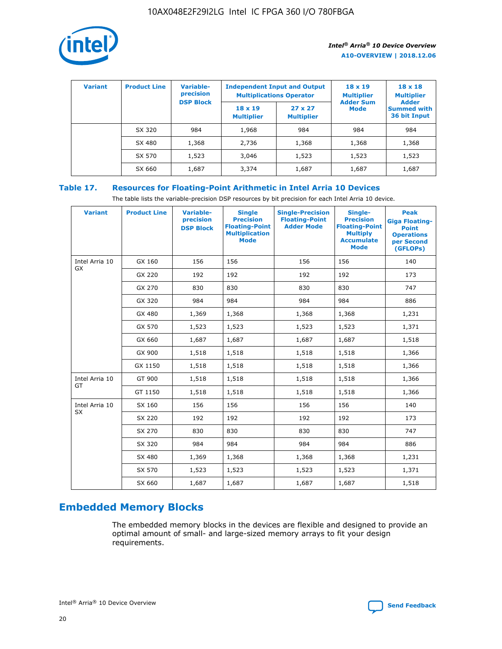

| <b>Variant</b> | <b>Product Line</b> | Variable-<br>precision | <b>Independent Input and Output</b><br><b>Multiplications Operator</b> |                                     | $18 \times 19$<br><b>Multiplier</b> | $18 \times 18$<br><b>Multiplier</b><br><b>Adder</b> |  |
|----------------|---------------------|------------------------|------------------------------------------------------------------------|-------------------------------------|-------------------------------------|-----------------------------------------------------|--|
|                |                     | <b>DSP Block</b>       | $18 \times 19$<br><b>Multiplier</b>                                    | $27 \times 27$<br><b>Multiplier</b> | <b>Adder Sum</b><br><b>Mode</b>     | <b>Summed with</b><br>36 bit Input                  |  |
|                | SX 320              | 984                    | 1,968                                                                  | 984                                 | 984                                 | 984                                                 |  |
|                | SX 480              | 1,368                  | 2,736                                                                  | 1,368                               | 1,368                               | 1,368                                               |  |
|                | SX 570              | 1,523                  | 3,046                                                                  | 1,523                               | 1,523                               | 1,523                                               |  |
|                | SX 660              | 1,687                  | 3,374                                                                  | 1,687                               | 1,687                               | 1,687                                               |  |

#### **Table 17. Resources for Floating-Point Arithmetic in Intel Arria 10 Devices**

The table lists the variable-precision DSP resources by bit precision for each Intel Arria 10 device.

| <b>Variant</b> | <b>Product Line</b> | <b>Variable-</b><br>precision<br><b>DSP Block</b> | <b>Single</b><br><b>Precision</b><br><b>Floating-Point</b><br><b>Multiplication</b><br><b>Mode</b> | <b>Single-Precision</b><br><b>Floating-Point</b><br><b>Adder Mode</b> | Single-<br><b>Precision</b><br><b>Floating-Point</b><br><b>Multiply</b><br><b>Accumulate</b><br><b>Mode</b> | <b>Peak</b><br><b>Giga Floating-</b><br><b>Point</b><br><b>Operations</b><br>per Second<br>(GFLOPs) |
|----------------|---------------------|---------------------------------------------------|----------------------------------------------------------------------------------------------------|-----------------------------------------------------------------------|-------------------------------------------------------------------------------------------------------------|-----------------------------------------------------------------------------------------------------|
| Intel Arria 10 | GX 160              | 156                                               | 156                                                                                                | 156                                                                   | 156                                                                                                         | 140                                                                                                 |
| GX             | GX 220              | 192                                               | 192                                                                                                | 192                                                                   | 192                                                                                                         | 173                                                                                                 |
|                | GX 270              | 830                                               | 830                                                                                                | 830                                                                   | 830                                                                                                         | 747                                                                                                 |
|                | GX 320              | 984                                               | 984                                                                                                | 984                                                                   | 984                                                                                                         | 886                                                                                                 |
|                | GX 480              | 1,369                                             | 1,368                                                                                              | 1,368                                                                 | 1,368                                                                                                       | 1,231                                                                                               |
|                | GX 570              | 1,523                                             | 1,523                                                                                              | 1,523                                                                 | 1,523                                                                                                       | 1,371                                                                                               |
|                | GX 660              | 1,687                                             | 1,687                                                                                              | 1,687                                                                 | 1,687                                                                                                       | 1,518                                                                                               |
|                | GX 900              | 1,518                                             | 1,518                                                                                              | 1,518                                                                 | 1,518                                                                                                       | 1,366                                                                                               |
|                | GX 1150             | 1,518                                             | 1,518                                                                                              | 1,518                                                                 | 1,518                                                                                                       | 1,366                                                                                               |
| Intel Arria 10 | GT 900              | 1,518                                             | 1,518                                                                                              | 1,518                                                                 | 1,518                                                                                                       | 1,366                                                                                               |
| GT             | GT 1150             | 1,518                                             | 1,518                                                                                              | 1,518                                                                 | 1,518                                                                                                       | 1,366                                                                                               |
| Intel Arria 10 | SX 160              | 156                                               | 156                                                                                                | 156                                                                   | 156                                                                                                         | 140                                                                                                 |
| <b>SX</b>      | SX 220              | 192                                               | 192                                                                                                | 192                                                                   | 192                                                                                                         | 173                                                                                                 |
|                | SX 270              | 830                                               | 830                                                                                                | 830                                                                   | 830                                                                                                         | 747                                                                                                 |
|                | SX 320              | 984                                               | 984                                                                                                | 984                                                                   | 984                                                                                                         | 886                                                                                                 |
|                | SX 480              | 1,369                                             | 1,368                                                                                              | 1,368                                                                 | 1,368                                                                                                       | 1,231                                                                                               |
|                | SX 570              | 1,523                                             | 1,523                                                                                              | 1,523                                                                 | 1,523                                                                                                       | 1,371                                                                                               |
|                | SX 660              | 1,687                                             | 1,687                                                                                              | 1,687                                                                 | 1,687                                                                                                       | 1,518                                                                                               |

## **Embedded Memory Blocks**

The embedded memory blocks in the devices are flexible and designed to provide an optimal amount of small- and large-sized memory arrays to fit your design requirements.

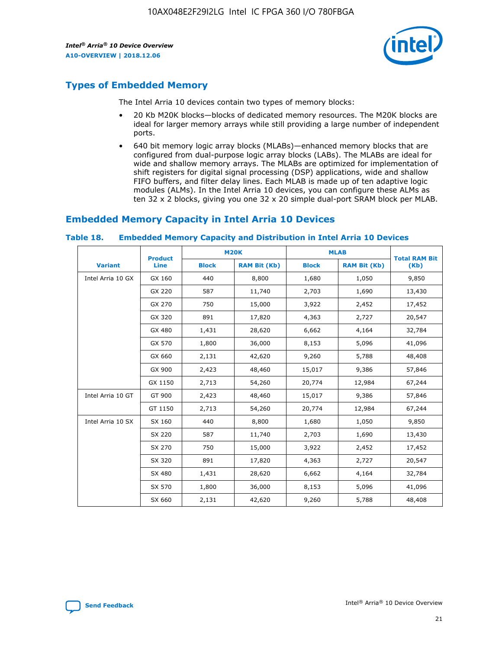

## **Types of Embedded Memory**

The Intel Arria 10 devices contain two types of memory blocks:

- 20 Kb M20K blocks—blocks of dedicated memory resources. The M20K blocks are ideal for larger memory arrays while still providing a large number of independent ports.
- 640 bit memory logic array blocks (MLABs)—enhanced memory blocks that are configured from dual-purpose logic array blocks (LABs). The MLABs are ideal for wide and shallow memory arrays. The MLABs are optimized for implementation of shift registers for digital signal processing (DSP) applications, wide and shallow FIFO buffers, and filter delay lines. Each MLAB is made up of ten adaptive logic modules (ALMs). In the Intel Arria 10 devices, you can configure these ALMs as ten 32 x 2 blocks, giving you one 32 x 20 simple dual-port SRAM block per MLAB.

## **Embedded Memory Capacity in Intel Arria 10 Devices**

|                   | <b>Product</b> |              | <b>M20K</b>         | <b>MLAB</b>  |                     | <b>Total RAM Bit</b> |
|-------------------|----------------|--------------|---------------------|--------------|---------------------|----------------------|
| <b>Variant</b>    | Line           | <b>Block</b> | <b>RAM Bit (Kb)</b> | <b>Block</b> | <b>RAM Bit (Kb)</b> | (Kb)                 |
| Intel Arria 10 GX | GX 160         | 440          | 8,800               | 1,680        | 1,050               | 9,850                |
|                   | GX 220         | 587          | 11,740              | 2,703        | 1,690               | 13,430               |
|                   | GX 270         | 750          | 15,000              | 3,922        | 2,452               | 17,452               |
|                   | GX 320         | 891          | 17,820              | 4,363        | 2,727               | 20,547               |
|                   | GX 480         | 1,431        | 28,620              | 6,662        | 4,164               | 32,784               |
|                   | GX 570         | 1,800        | 36,000              | 8,153        | 5,096               | 41,096               |
|                   | GX 660         | 2,131        | 42,620              | 9,260        | 5,788               | 48,408               |
|                   | GX 900         | 2,423        | 48,460              | 15,017       | 9,386               | 57,846               |
|                   | GX 1150        | 2,713        | 54,260              | 20,774       | 12,984              | 67,244               |
| Intel Arria 10 GT | GT 900         | 2,423        | 48,460              | 15,017       | 9,386               | 57,846               |
|                   | GT 1150        | 2,713        | 54,260              | 20,774       | 12,984              | 67,244               |
| Intel Arria 10 SX | SX 160         | 440          | 8,800               | 1,680        | 1,050               | 9,850                |
|                   | SX 220         | 587          | 11,740              | 2,703        | 1,690               | 13,430               |
|                   | SX 270         | 750          | 15,000              | 3,922        | 2,452               | 17,452               |
|                   | SX 320         | 891          | 17,820              | 4,363        | 2,727               | 20,547               |
|                   | SX 480         | 1,431        | 28,620              | 6,662        | 4,164               | 32,784               |
|                   | SX 570         | 1,800        | 36,000              | 8,153        | 5,096               | 41,096               |
|                   | SX 660         | 2,131        | 42,620              | 9,260        | 5,788               | 48,408               |

#### **Table 18. Embedded Memory Capacity and Distribution in Intel Arria 10 Devices**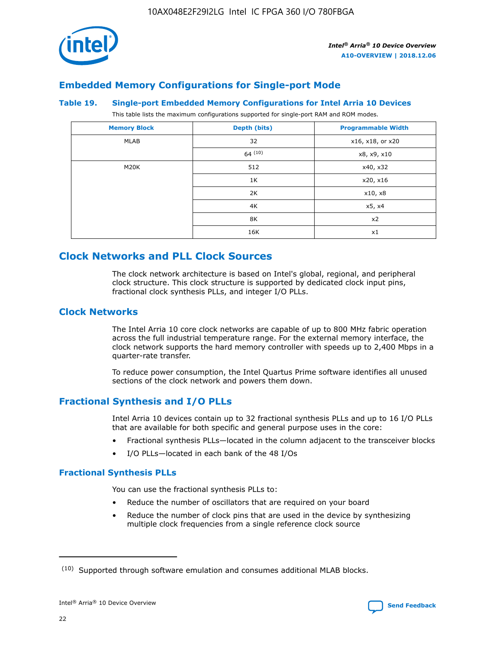

## **Embedded Memory Configurations for Single-port Mode**

#### **Table 19. Single-port Embedded Memory Configurations for Intel Arria 10 Devices**

This table lists the maximum configurations supported for single-port RAM and ROM modes.

| <b>Memory Block</b> | Depth (bits) | <b>Programmable Width</b> |
|---------------------|--------------|---------------------------|
| MLAB                | 32           | x16, x18, or x20          |
|                     | 64(10)       | x8, x9, x10               |
| M20K                | 512          | x40, x32                  |
|                     | 1K           | x20, x16                  |
|                     | 2K           | x10, x8                   |
|                     | 4K           | x5, x4                    |
|                     | 8K           | x2                        |
|                     | 16K          | x1                        |

## **Clock Networks and PLL Clock Sources**

The clock network architecture is based on Intel's global, regional, and peripheral clock structure. This clock structure is supported by dedicated clock input pins, fractional clock synthesis PLLs, and integer I/O PLLs.

#### **Clock Networks**

The Intel Arria 10 core clock networks are capable of up to 800 MHz fabric operation across the full industrial temperature range. For the external memory interface, the clock network supports the hard memory controller with speeds up to 2,400 Mbps in a quarter-rate transfer.

To reduce power consumption, the Intel Quartus Prime software identifies all unused sections of the clock network and powers them down.

#### **Fractional Synthesis and I/O PLLs**

Intel Arria 10 devices contain up to 32 fractional synthesis PLLs and up to 16 I/O PLLs that are available for both specific and general purpose uses in the core:

- Fractional synthesis PLLs—located in the column adjacent to the transceiver blocks
- I/O PLLs—located in each bank of the 48 I/Os

#### **Fractional Synthesis PLLs**

You can use the fractional synthesis PLLs to:

- Reduce the number of oscillators that are required on your board
- Reduce the number of clock pins that are used in the device by synthesizing multiple clock frequencies from a single reference clock source

<sup>(10)</sup> Supported through software emulation and consumes additional MLAB blocks.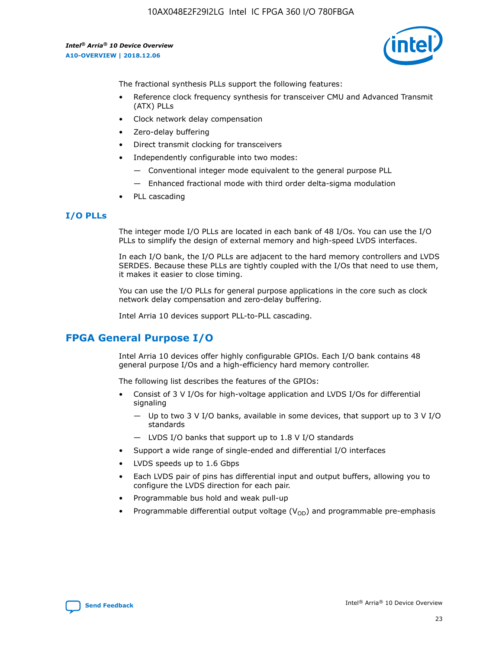

The fractional synthesis PLLs support the following features:

- Reference clock frequency synthesis for transceiver CMU and Advanced Transmit (ATX) PLLs
- Clock network delay compensation
- Zero-delay buffering
- Direct transmit clocking for transceivers
- Independently configurable into two modes:
	- Conventional integer mode equivalent to the general purpose PLL
	- Enhanced fractional mode with third order delta-sigma modulation
- PLL cascading

#### **I/O PLLs**

The integer mode I/O PLLs are located in each bank of 48 I/Os. You can use the I/O PLLs to simplify the design of external memory and high-speed LVDS interfaces.

In each I/O bank, the I/O PLLs are adjacent to the hard memory controllers and LVDS SERDES. Because these PLLs are tightly coupled with the I/Os that need to use them, it makes it easier to close timing.

You can use the I/O PLLs for general purpose applications in the core such as clock network delay compensation and zero-delay buffering.

Intel Arria 10 devices support PLL-to-PLL cascading.

## **FPGA General Purpose I/O**

Intel Arria 10 devices offer highly configurable GPIOs. Each I/O bank contains 48 general purpose I/Os and a high-efficiency hard memory controller.

The following list describes the features of the GPIOs:

- Consist of 3 V I/Os for high-voltage application and LVDS I/Os for differential signaling
	- Up to two 3 V I/O banks, available in some devices, that support up to 3 V I/O standards
	- LVDS I/O banks that support up to 1.8 V I/O standards
- Support a wide range of single-ended and differential I/O interfaces
- LVDS speeds up to 1.6 Gbps
- Each LVDS pair of pins has differential input and output buffers, allowing you to configure the LVDS direction for each pair.
- Programmable bus hold and weak pull-up
- Programmable differential output voltage  $(V_{OD})$  and programmable pre-emphasis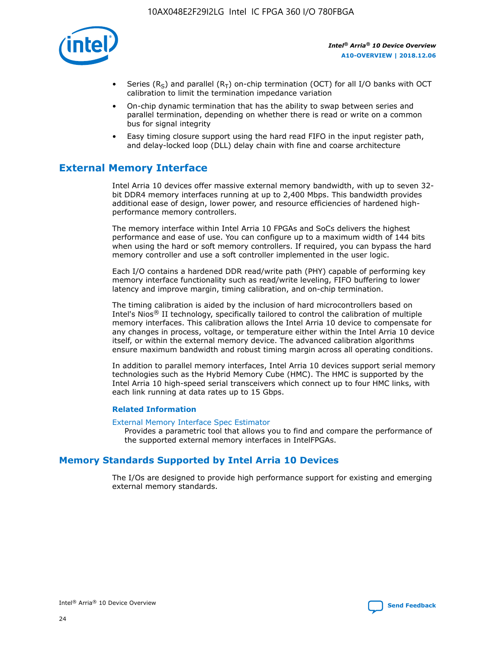

- Series (R<sub>S</sub>) and parallel (R<sub>T</sub>) on-chip termination (OCT) for all I/O banks with OCT calibration to limit the termination impedance variation
- On-chip dynamic termination that has the ability to swap between series and parallel termination, depending on whether there is read or write on a common bus for signal integrity
- Easy timing closure support using the hard read FIFO in the input register path, and delay-locked loop (DLL) delay chain with fine and coarse architecture

## **External Memory Interface**

Intel Arria 10 devices offer massive external memory bandwidth, with up to seven 32 bit DDR4 memory interfaces running at up to 2,400 Mbps. This bandwidth provides additional ease of design, lower power, and resource efficiencies of hardened highperformance memory controllers.

The memory interface within Intel Arria 10 FPGAs and SoCs delivers the highest performance and ease of use. You can configure up to a maximum width of 144 bits when using the hard or soft memory controllers. If required, you can bypass the hard memory controller and use a soft controller implemented in the user logic.

Each I/O contains a hardened DDR read/write path (PHY) capable of performing key memory interface functionality such as read/write leveling, FIFO buffering to lower latency and improve margin, timing calibration, and on-chip termination.

The timing calibration is aided by the inclusion of hard microcontrollers based on Intel's Nios® II technology, specifically tailored to control the calibration of multiple memory interfaces. This calibration allows the Intel Arria 10 device to compensate for any changes in process, voltage, or temperature either within the Intel Arria 10 device itself, or within the external memory device. The advanced calibration algorithms ensure maximum bandwidth and robust timing margin across all operating conditions.

In addition to parallel memory interfaces, Intel Arria 10 devices support serial memory technologies such as the Hybrid Memory Cube (HMC). The HMC is supported by the Intel Arria 10 high-speed serial transceivers which connect up to four HMC links, with each link running at data rates up to 15 Gbps.

#### **Related Information**

#### [External Memory Interface Spec Estimator](http://www.altera.com/technology/memory/estimator/mem-emif-index.html)

Provides a parametric tool that allows you to find and compare the performance of the supported external memory interfaces in IntelFPGAs.

## **Memory Standards Supported by Intel Arria 10 Devices**

The I/Os are designed to provide high performance support for existing and emerging external memory standards.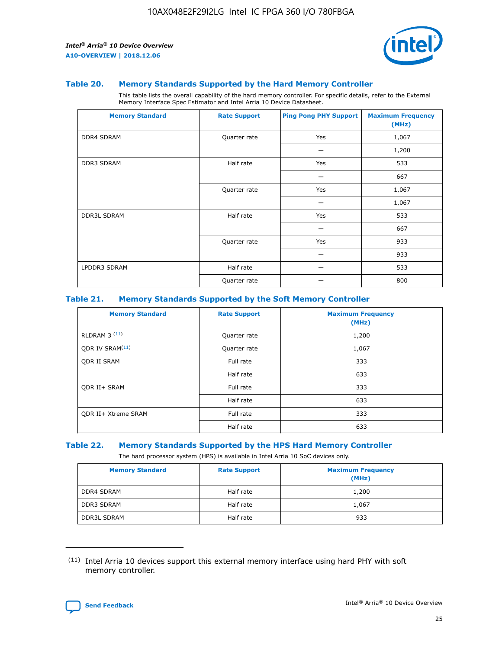

#### **Table 20. Memory Standards Supported by the Hard Memory Controller**

This table lists the overall capability of the hard memory controller. For specific details, refer to the External Memory Interface Spec Estimator and Intel Arria 10 Device Datasheet.

| <b>Memory Standard</b> | <b>Rate Support</b> | <b>Ping Pong PHY Support</b> | <b>Maximum Frequency</b><br>(MHz) |
|------------------------|---------------------|------------------------------|-----------------------------------|
| <b>DDR4 SDRAM</b>      | Quarter rate        | Yes                          | 1,067                             |
|                        |                     |                              | 1,200                             |
| DDR3 SDRAM             | Half rate           | Yes                          | 533                               |
|                        |                     |                              | 667                               |
|                        | Quarter rate        | Yes                          | 1,067                             |
|                        |                     |                              | 1,067                             |
| <b>DDR3L SDRAM</b>     | Half rate           | Yes                          | 533                               |
|                        |                     |                              | 667                               |
|                        | Quarter rate        | Yes                          | 933                               |
|                        |                     |                              | 933                               |
| LPDDR3 SDRAM           | Half rate           |                              | 533                               |
|                        | Quarter rate        |                              | 800                               |

#### **Table 21. Memory Standards Supported by the Soft Memory Controller**

| <b>Memory Standard</b>      | <b>Rate Support</b> | <b>Maximum Frequency</b><br>(MHz) |
|-----------------------------|---------------------|-----------------------------------|
| <b>RLDRAM 3 (11)</b>        | Quarter rate        | 1,200                             |
| ODR IV SRAM <sup>(11)</sup> | Quarter rate        | 1,067                             |
| <b>ODR II SRAM</b>          | Full rate           | 333                               |
|                             | Half rate           | 633                               |
| <b>ODR II+ SRAM</b>         | Full rate           | 333                               |
|                             | Half rate           | 633                               |
| <b>ODR II+ Xtreme SRAM</b>  | Full rate           | 333                               |
|                             | Half rate           | 633                               |

#### **Table 22. Memory Standards Supported by the HPS Hard Memory Controller**

The hard processor system (HPS) is available in Intel Arria 10 SoC devices only.

| <b>Memory Standard</b> | <b>Rate Support</b> | <b>Maximum Frequency</b><br>(MHz) |
|------------------------|---------------------|-----------------------------------|
| <b>DDR4 SDRAM</b>      | Half rate           | 1,200                             |
| <b>DDR3 SDRAM</b>      | Half rate           | 1,067                             |
| <b>DDR3L SDRAM</b>     | Half rate           | 933                               |

<sup>(11)</sup> Intel Arria 10 devices support this external memory interface using hard PHY with soft memory controller.

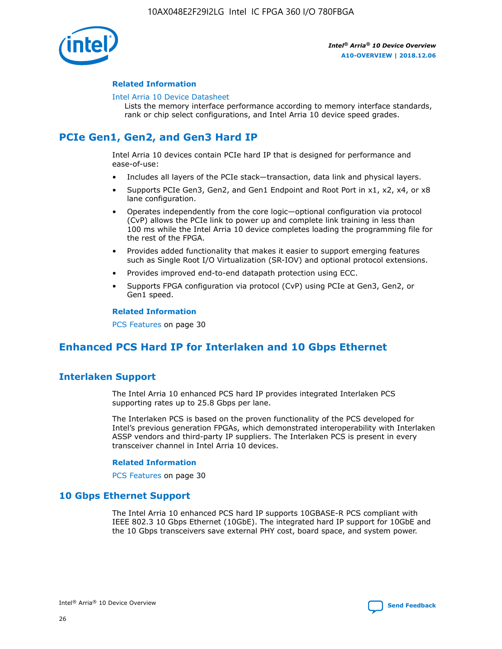

#### **Related Information**

#### [Intel Arria 10 Device Datasheet](https://www.intel.com/content/www/us/en/programmable/documentation/mcn1413182292568.html#mcn1413182153340)

Lists the memory interface performance according to memory interface standards, rank or chip select configurations, and Intel Arria 10 device speed grades.

## **PCIe Gen1, Gen2, and Gen3 Hard IP**

Intel Arria 10 devices contain PCIe hard IP that is designed for performance and ease-of-use:

- Includes all layers of the PCIe stack—transaction, data link and physical layers.
- Supports PCIe Gen3, Gen2, and Gen1 Endpoint and Root Port in x1, x2, x4, or x8 lane configuration.
- Operates independently from the core logic—optional configuration via protocol (CvP) allows the PCIe link to power up and complete link training in less than 100 ms while the Intel Arria 10 device completes loading the programming file for the rest of the FPGA.
- Provides added functionality that makes it easier to support emerging features such as Single Root I/O Virtualization (SR-IOV) and optional protocol extensions.
- Provides improved end-to-end datapath protection using ECC.
- Supports FPGA configuration via protocol (CvP) using PCIe at Gen3, Gen2, or Gen1 speed.

#### **Related Information**

PCS Features on page 30

## **Enhanced PCS Hard IP for Interlaken and 10 Gbps Ethernet**

## **Interlaken Support**

The Intel Arria 10 enhanced PCS hard IP provides integrated Interlaken PCS supporting rates up to 25.8 Gbps per lane.

The Interlaken PCS is based on the proven functionality of the PCS developed for Intel's previous generation FPGAs, which demonstrated interoperability with Interlaken ASSP vendors and third-party IP suppliers. The Interlaken PCS is present in every transceiver channel in Intel Arria 10 devices.

#### **Related Information**

PCS Features on page 30

#### **10 Gbps Ethernet Support**

The Intel Arria 10 enhanced PCS hard IP supports 10GBASE-R PCS compliant with IEEE 802.3 10 Gbps Ethernet (10GbE). The integrated hard IP support for 10GbE and the 10 Gbps transceivers save external PHY cost, board space, and system power.

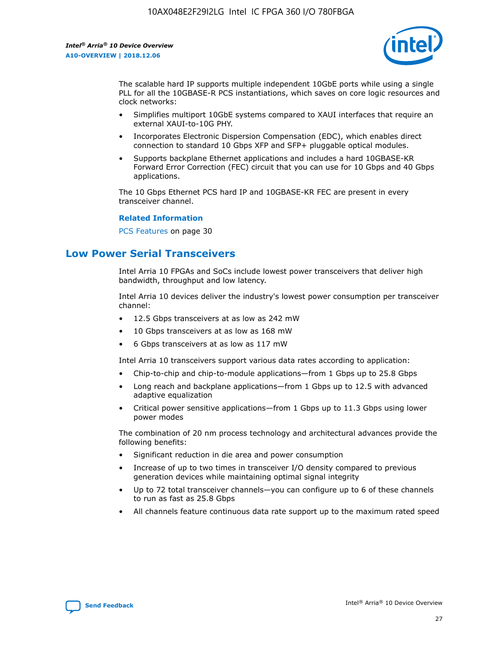

The scalable hard IP supports multiple independent 10GbE ports while using a single PLL for all the 10GBASE-R PCS instantiations, which saves on core logic resources and clock networks:

- Simplifies multiport 10GbE systems compared to XAUI interfaces that require an external XAUI-to-10G PHY.
- Incorporates Electronic Dispersion Compensation (EDC), which enables direct connection to standard 10 Gbps XFP and SFP+ pluggable optical modules.
- Supports backplane Ethernet applications and includes a hard 10GBASE-KR Forward Error Correction (FEC) circuit that you can use for 10 Gbps and 40 Gbps applications.

The 10 Gbps Ethernet PCS hard IP and 10GBASE-KR FEC are present in every transceiver channel.

#### **Related Information**

PCS Features on page 30

## **Low Power Serial Transceivers**

Intel Arria 10 FPGAs and SoCs include lowest power transceivers that deliver high bandwidth, throughput and low latency.

Intel Arria 10 devices deliver the industry's lowest power consumption per transceiver channel:

- 12.5 Gbps transceivers at as low as 242 mW
- 10 Gbps transceivers at as low as 168 mW
- 6 Gbps transceivers at as low as 117 mW

Intel Arria 10 transceivers support various data rates according to application:

- Chip-to-chip and chip-to-module applications—from 1 Gbps up to 25.8 Gbps
- Long reach and backplane applications—from 1 Gbps up to 12.5 with advanced adaptive equalization
- Critical power sensitive applications—from 1 Gbps up to 11.3 Gbps using lower power modes

The combination of 20 nm process technology and architectural advances provide the following benefits:

- Significant reduction in die area and power consumption
- Increase of up to two times in transceiver I/O density compared to previous generation devices while maintaining optimal signal integrity
- Up to 72 total transceiver channels—you can configure up to 6 of these channels to run as fast as 25.8 Gbps
- All channels feature continuous data rate support up to the maximum rated speed

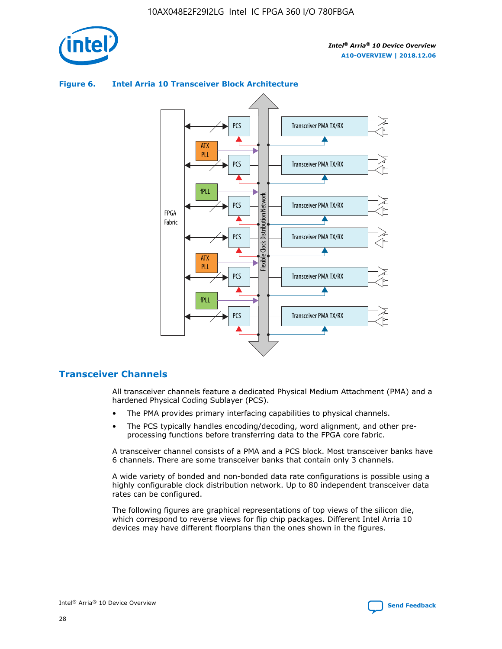





## **Transceiver Channels**

All transceiver channels feature a dedicated Physical Medium Attachment (PMA) and a hardened Physical Coding Sublayer (PCS).

- The PMA provides primary interfacing capabilities to physical channels.
- The PCS typically handles encoding/decoding, word alignment, and other preprocessing functions before transferring data to the FPGA core fabric.

A transceiver channel consists of a PMA and a PCS block. Most transceiver banks have 6 channels. There are some transceiver banks that contain only 3 channels.

A wide variety of bonded and non-bonded data rate configurations is possible using a highly configurable clock distribution network. Up to 80 independent transceiver data rates can be configured.

The following figures are graphical representations of top views of the silicon die, which correspond to reverse views for flip chip packages. Different Intel Arria 10 devices may have different floorplans than the ones shown in the figures.

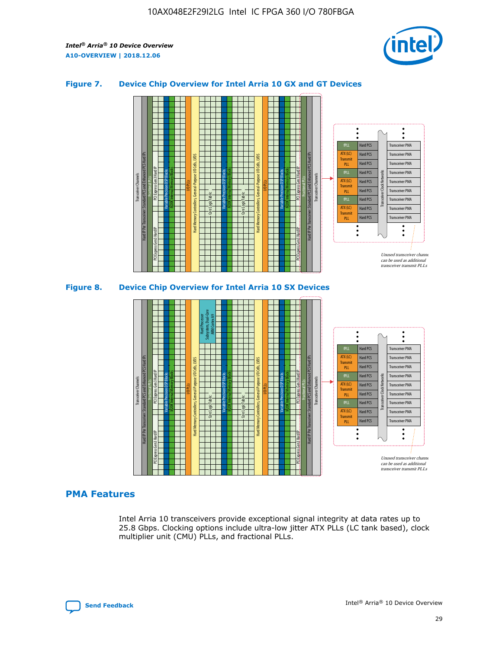

#### **Figure 7. Device Chip Overview for Intel Arria 10 GX and GT Devices**



#### **PMA Features**

Intel Arria 10 transceivers provide exceptional signal integrity at data rates up to 25.8 Gbps. Clocking options include ultra-low jitter ATX PLLs (LC tank based), clock multiplier unit (CMU) PLLs, and fractional PLLs.



Hard PCS Hard PCS Hard PCS Hard PCS Hard PCS

ATX (LC) Transmi PLL fPLL ATX (LC) **Transmit** PLL

Transceiver PMA Transceiver PMA Transceiver PMA

Transceiver PMA Transceiver PMA

Unused transceiver chann can be used as additional transceiver transmit PLLs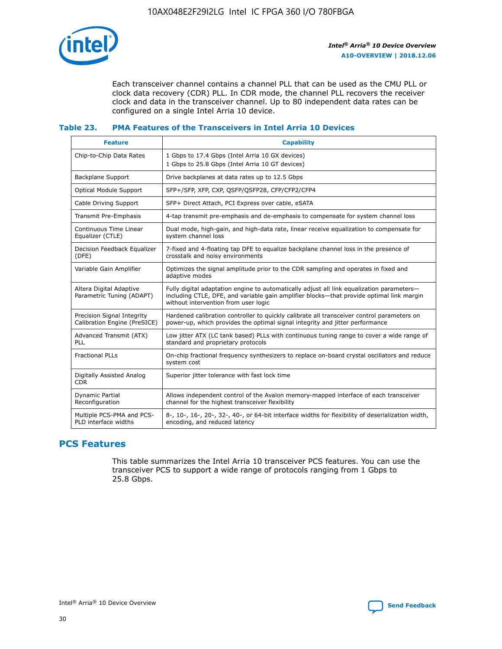

Each transceiver channel contains a channel PLL that can be used as the CMU PLL or clock data recovery (CDR) PLL. In CDR mode, the channel PLL recovers the receiver clock and data in the transceiver channel. Up to 80 independent data rates can be configured on a single Intel Arria 10 device.

#### **Table 23. PMA Features of the Transceivers in Intel Arria 10 Devices**

| <b>Feature</b>                                             | <b>Capability</b>                                                                                                                                                                                                             |
|------------------------------------------------------------|-------------------------------------------------------------------------------------------------------------------------------------------------------------------------------------------------------------------------------|
| Chip-to-Chip Data Rates                                    | 1 Gbps to 17.4 Gbps (Intel Arria 10 GX devices)<br>1 Gbps to 25.8 Gbps (Intel Arria 10 GT devices)                                                                                                                            |
| <b>Backplane Support</b>                                   | Drive backplanes at data rates up to 12.5 Gbps                                                                                                                                                                                |
| <b>Optical Module Support</b>                              | SFP+/SFP, XFP, CXP, QSFP/QSFP28, CFP/CFP2/CFP4                                                                                                                                                                                |
| Cable Driving Support                                      | SFP+ Direct Attach, PCI Express over cable, eSATA                                                                                                                                                                             |
| Transmit Pre-Emphasis                                      | 4-tap transmit pre-emphasis and de-emphasis to compensate for system channel loss                                                                                                                                             |
| Continuous Time Linear<br>Equalizer (CTLE)                 | Dual mode, high-gain, and high-data rate, linear receive equalization to compensate for<br>system channel loss                                                                                                                |
| Decision Feedback Equalizer<br>(DFE)                       | 7-fixed and 4-floating tap DFE to equalize backplane channel loss in the presence of<br>crosstalk and noisy environments                                                                                                      |
| Variable Gain Amplifier                                    | Optimizes the signal amplitude prior to the CDR sampling and operates in fixed and<br>adaptive modes                                                                                                                          |
| Altera Digital Adaptive<br>Parametric Tuning (ADAPT)       | Fully digital adaptation engine to automatically adjust all link equalization parameters-<br>including CTLE, DFE, and variable gain amplifier blocks—that provide optimal link margin<br>without intervention from user logic |
| Precision Signal Integrity<br>Calibration Engine (PreSICE) | Hardened calibration controller to quickly calibrate all transceiver control parameters on<br>power-up, which provides the optimal signal integrity and jitter performance                                                    |
| Advanced Transmit (ATX)<br>PLL                             | Low jitter ATX (LC tank based) PLLs with continuous tuning range to cover a wide range of<br>standard and proprietary protocols                                                                                               |
| <b>Fractional PLLs</b>                                     | On-chip fractional frequency synthesizers to replace on-board crystal oscillators and reduce<br>system cost                                                                                                                   |
| Digitally Assisted Analog<br><b>CDR</b>                    | Superior jitter tolerance with fast lock time                                                                                                                                                                                 |
| Dynamic Partial<br>Reconfiguration                         | Allows independent control of the Avalon memory-mapped interface of each transceiver<br>channel for the highest transceiver flexibility                                                                                       |
| Multiple PCS-PMA and PCS-<br>PLD interface widths          | 8-, 10-, 16-, 20-, 32-, 40-, or 64-bit interface widths for flexibility of deserialization width,<br>encoding, and reduced latency                                                                                            |

## **PCS Features**

This table summarizes the Intel Arria 10 transceiver PCS features. You can use the transceiver PCS to support a wide range of protocols ranging from 1 Gbps to 25.8 Gbps.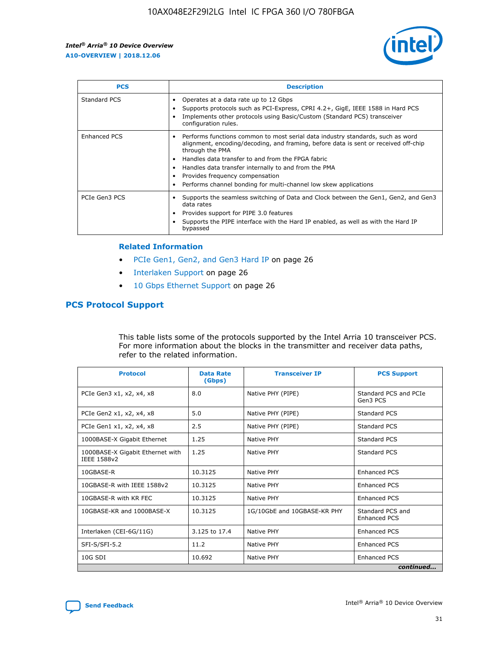

| <b>PCS</b>          | <b>Description</b>                                                                                                                                                                                                                                                                                                                                                                                             |
|---------------------|----------------------------------------------------------------------------------------------------------------------------------------------------------------------------------------------------------------------------------------------------------------------------------------------------------------------------------------------------------------------------------------------------------------|
| Standard PCS        | Operates at a data rate up to 12 Gbps<br>Supports protocols such as PCI-Express, CPRI 4.2+, GigE, IEEE 1588 in Hard PCS<br>Implements other protocols using Basic/Custom (Standard PCS) transceiver<br>configuration rules.                                                                                                                                                                                    |
| <b>Enhanced PCS</b> | Performs functions common to most serial data industry standards, such as word<br>alignment, encoding/decoding, and framing, before data is sent or received off-chip<br>through the PMA<br>• Handles data transfer to and from the FPGA fabric<br>Handles data transfer internally to and from the PMA<br>Provides frequency compensation<br>Performs channel bonding for multi-channel low skew applications |
| PCIe Gen3 PCS       | Supports the seamless switching of Data and Clock between the Gen1, Gen2, and Gen3<br>data rates<br>Provides support for PIPE 3.0 features<br>Supports the PIPE interface with the Hard IP enabled, as well as with the Hard IP<br>bypassed                                                                                                                                                                    |

#### **Related Information**

- PCIe Gen1, Gen2, and Gen3 Hard IP on page 26
- Interlaken Support on page 26
- 10 Gbps Ethernet Support on page 26

#### **PCS Protocol Support**

This table lists some of the protocols supported by the Intel Arria 10 transceiver PCS. For more information about the blocks in the transmitter and receiver data paths, refer to the related information.

| <b>Protocol</b>                                 | <b>Data Rate</b><br>(Gbps) | <b>Transceiver IP</b>       | <b>PCS Support</b>                      |
|-------------------------------------------------|----------------------------|-----------------------------|-----------------------------------------|
| PCIe Gen3 x1, x2, x4, x8                        | 8.0                        | Native PHY (PIPE)           | Standard PCS and PCIe<br>Gen3 PCS       |
| PCIe Gen2 x1, x2, x4, x8                        | 5.0                        | Native PHY (PIPE)           | <b>Standard PCS</b>                     |
| PCIe Gen1 x1, x2, x4, x8                        | 2.5                        | Native PHY (PIPE)           | Standard PCS                            |
| 1000BASE-X Gigabit Ethernet                     | 1.25                       | Native PHY                  | <b>Standard PCS</b>                     |
| 1000BASE-X Gigabit Ethernet with<br>IEEE 1588v2 | 1.25                       | Native PHY                  | Standard PCS                            |
| 10GBASE-R                                       | 10.3125                    | Native PHY                  | <b>Enhanced PCS</b>                     |
| 10GBASE-R with IEEE 1588v2                      | 10.3125                    | Native PHY                  | <b>Enhanced PCS</b>                     |
| 10GBASE-R with KR FEC                           | 10.3125                    | Native PHY                  | <b>Enhanced PCS</b>                     |
| 10GBASE-KR and 1000BASE-X                       | 10.3125                    | 1G/10GbE and 10GBASE-KR PHY | Standard PCS and<br><b>Enhanced PCS</b> |
| Interlaken (CEI-6G/11G)                         | 3.125 to 17.4              | Native PHY                  | <b>Enhanced PCS</b>                     |
| SFI-S/SFI-5.2                                   | 11.2                       | Native PHY                  | <b>Enhanced PCS</b>                     |
| $10G$ SDI                                       | 10.692                     | Native PHY                  | <b>Enhanced PCS</b>                     |
|                                                 |                            |                             | continued                               |

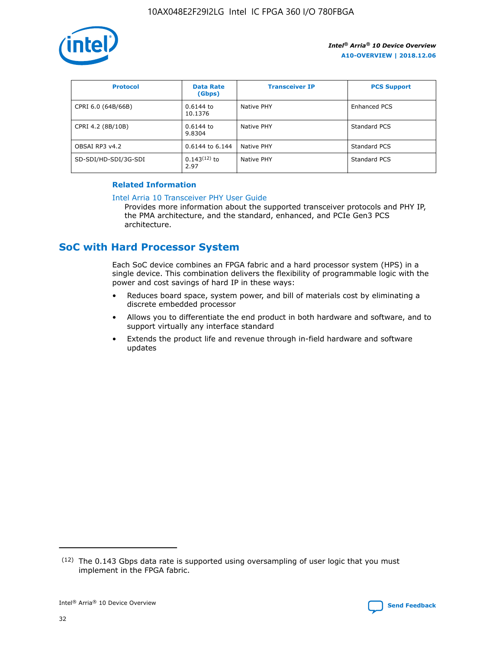

| <b>Protocol</b>      | <b>Data Rate</b><br>(Gbps) | <b>Transceiver IP</b> | <b>PCS Support</b> |
|----------------------|----------------------------|-----------------------|--------------------|
| CPRI 6.0 (64B/66B)   | 0.6144 to<br>10.1376       | Native PHY            | Enhanced PCS       |
| CPRI 4.2 (8B/10B)    | $0.6144$ to<br>9.8304      | Native PHY            | Standard PCS       |
| OBSAI RP3 v4.2       | 0.6144 to 6.144            | Native PHY            | Standard PCS       |
| SD-SDI/HD-SDI/3G-SDI | $0.143(12)$ to<br>2.97     | Native PHY            | Standard PCS       |

#### **Related Information**

#### [Intel Arria 10 Transceiver PHY User Guide](https://www.intel.com/content/www/us/en/programmable/documentation/nik1398707230472.html#nik1398707091164)

Provides more information about the supported transceiver protocols and PHY IP, the PMA architecture, and the standard, enhanced, and PCIe Gen3 PCS architecture.

## **SoC with Hard Processor System**

Each SoC device combines an FPGA fabric and a hard processor system (HPS) in a single device. This combination delivers the flexibility of programmable logic with the power and cost savings of hard IP in these ways:

- Reduces board space, system power, and bill of materials cost by eliminating a discrete embedded processor
- Allows you to differentiate the end product in both hardware and software, and to support virtually any interface standard
- Extends the product life and revenue through in-field hardware and software updates

 $(12)$  The 0.143 Gbps data rate is supported using oversampling of user logic that you must implement in the FPGA fabric.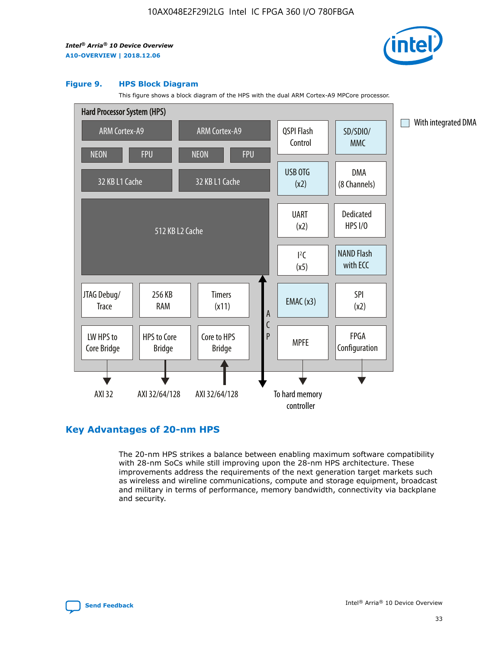

#### **Figure 9. HPS Block Diagram**

This figure shows a block diagram of the HPS with the dual ARM Cortex-A9 MPCore processor.



#### **Key Advantages of 20-nm HPS**

The 20-nm HPS strikes a balance between enabling maximum software compatibility with 28-nm SoCs while still improving upon the 28-nm HPS architecture. These improvements address the requirements of the next generation target markets such as wireless and wireline communications, compute and storage equipment, broadcast and military in terms of performance, memory bandwidth, connectivity via backplane and security.

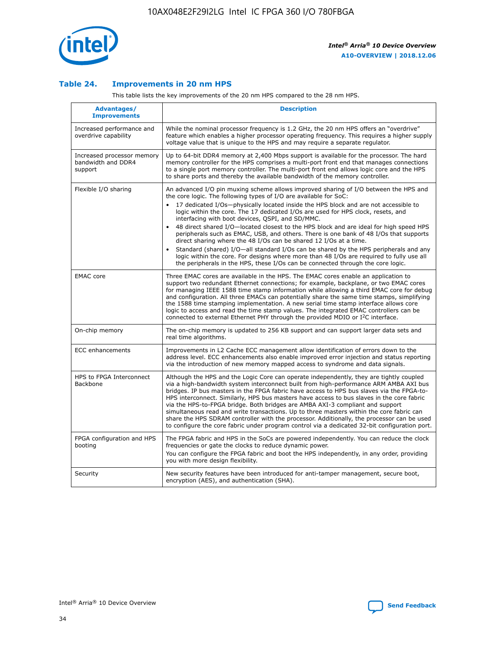

#### **Table 24. Improvements in 20 nm HPS**

This table lists the key improvements of the 20 nm HPS compared to the 28 nm HPS.

| Advantages/<br><b>Improvements</b>                          | <b>Description</b>                                                                                                                                                                                                                                                                                                                                                                                                                                                                                                                                                                                                                                                                                                                                                                                                                                                                                                      |
|-------------------------------------------------------------|-------------------------------------------------------------------------------------------------------------------------------------------------------------------------------------------------------------------------------------------------------------------------------------------------------------------------------------------------------------------------------------------------------------------------------------------------------------------------------------------------------------------------------------------------------------------------------------------------------------------------------------------------------------------------------------------------------------------------------------------------------------------------------------------------------------------------------------------------------------------------------------------------------------------------|
| Increased performance and<br>overdrive capability           | While the nominal processor frequency is 1.2 GHz, the 20 nm HPS offers an "overdrive"<br>feature which enables a higher processor operating frequency. This requires a higher supply<br>voltage value that is unique to the HPS and may require a separate regulator.                                                                                                                                                                                                                                                                                                                                                                                                                                                                                                                                                                                                                                                   |
| Increased processor memory<br>bandwidth and DDR4<br>support | Up to 64-bit DDR4 memory at 2,400 Mbps support is available for the processor. The hard<br>memory controller for the HPS comprises a multi-port front end that manages connections<br>to a single port memory controller. The multi-port front end allows logic core and the HPS<br>to share ports and thereby the available bandwidth of the memory controller.                                                                                                                                                                                                                                                                                                                                                                                                                                                                                                                                                        |
| Flexible I/O sharing                                        | An advanced I/O pin muxing scheme allows improved sharing of I/O between the HPS and<br>the core logic. The following types of I/O are available for SoC:<br>17 dedicated I/Os-physically located inside the HPS block and are not accessible to<br>logic within the core. The 17 dedicated I/Os are used for HPS clock, resets, and<br>interfacing with boot devices, QSPI, and SD/MMC.<br>48 direct shared I/O-located closest to the HPS block and are ideal for high speed HPS<br>peripherals such as EMAC, USB, and others. There is one bank of 48 I/Os that supports<br>direct sharing where the 48 I/Os can be shared 12 I/Os at a time.<br>Standard (shared) I/O-all standard I/Os can be shared by the HPS peripherals and any<br>logic within the core. For designs where more than 48 I/Os are required to fully use all<br>the peripherals in the HPS, these I/Os can be connected through the core logic. |
| <b>EMAC</b> core                                            | Three EMAC cores are available in the HPS. The EMAC cores enable an application to<br>support two redundant Ethernet connections; for example, backplane, or two EMAC cores<br>for managing IEEE 1588 time stamp information while allowing a third EMAC core for debug<br>and configuration. All three EMACs can potentially share the same time stamps, simplifying<br>the 1588 time stamping implementation. A new serial time stamp interface allows core<br>logic to access and read the time stamp values. The integrated EMAC controllers can be<br>connected to external Ethernet PHY through the provided MDIO or I <sup>2</sup> C interface.                                                                                                                                                                                                                                                                  |
| On-chip memory                                              | The on-chip memory is updated to 256 KB support and can support larger data sets and<br>real time algorithms.                                                                                                                                                                                                                                                                                                                                                                                                                                                                                                                                                                                                                                                                                                                                                                                                           |
| <b>ECC</b> enhancements                                     | Improvements in L2 Cache ECC management allow identification of errors down to the<br>address level. ECC enhancements also enable improved error injection and status reporting<br>via the introduction of new memory mapped access to syndrome and data signals.                                                                                                                                                                                                                                                                                                                                                                                                                                                                                                                                                                                                                                                       |
| HPS to FPGA Interconnect<br><b>Backbone</b>                 | Although the HPS and the Logic Core can operate independently, they are tightly coupled<br>via a high-bandwidth system interconnect built from high-performance ARM AMBA AXI bus<br>bridges. IP bus masters in the FPGA fabric have access to HPS bus slaves via the FPGA-to-<br>HPS interconnect. Similarly, HPS bus masters have access to bus slaves in the core fabric<br>via the HPS-to-FPGA bridge. Both bridges are AMBA AXI-3 compliant and support<br>simultaneous read and write transactions. Up to three masters within the core fabric can<br>share the HPS SDRAM controller with the processor. Additionally, the processor can be used<br>to configure the core fabric under program control via a dedicated 32-bit configuration port.                                                                                                                                                                  |
| FPGA configuration and HPS<br>booting                       | The FPGA fabric and HPS in the SoCs are powered independently. You can reduce the clock<br>frequencies or gate the clocks to reduce dynamic power.<br>You can configure the FPGA fabric and boot the HPS independently, in any order, providing<br>you with more design flexibility.                                                                                                                                                                                                                                                                                                                                                                                                                                                                                                                                                                                                                                    |
| Security                                                    | New security features have been introduced for anti-tamper management, secure boot,<br>encryption (AES), and authentication (SHA).                                                                                                                                                                                                                                                                                                                                                                                                                                                                                                                                                                                                                                                                                                                                                                                      |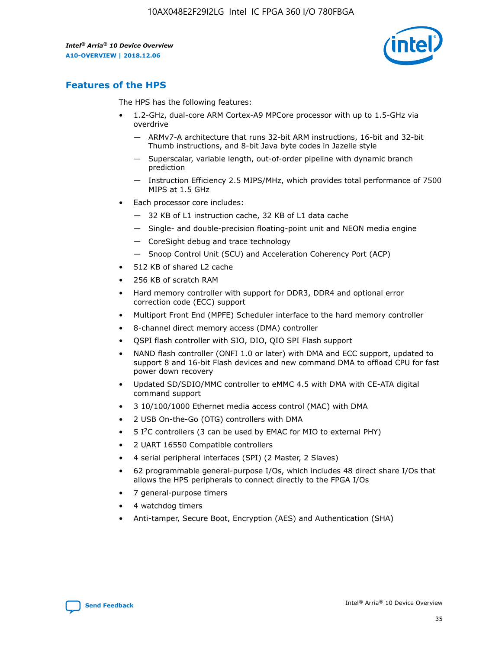

## **Features of the HPS**

The HPS has the following features:

- 1.2-GHz, dual-core ARM Cortex-A9 MPCore processor with up to 1.5-GHz via overdrive
	- ARMv7-A architecture that runs 32-bit ARM instructions, 16-bit and 32-bit Thumb instructions, and 8-bit Java byte codes in Jazelle style
	- Superscalar, variable length, out-of-order pipeline with dynamic branch prediction
	- Instruction Efficiency 2.5 MIPS/MHz, which provides total performance of 7500 MIPS at 1.5 GHz
- Each processor core includes:
	- 32 KB of L1 instruction cache, 32 KB of L1 data cache
	- Single- and double-precision floating-point unit and NEON media engine
	- CoreSight debug and trace technology
	- Snoop Control Unit (SCU) and Acceleration Coherency Port (ACP)
- 512 KB of shared L2 cache
- 256 KB of scratch RAM
- Hard memory controller with support for DDR3, DDR4 and optional error correction code (ECC) support
- Multiport Front End (MPFE) Scheduler interface to the hard memory controller
- 8-channel direct memory access (DMA) controller
- QSPI flash controller with SIO, DIO, QIO SPI Flash support
- NAND flash controller (ONFI 1.0 or later) with DMA and ECC support, updated to support 8 and 16-bit Flash devices and new command DMA to offload CPU for fast power down recovery
- Updated SD/SDIO/MMC controller to eMMC 4.5 with DMA with CE-ATA digital command support
- 3 10/100/1000 Ethernet media access control (MAC) with DMA
- 2 USB On-the-Go (OTG) controllers with DMA
- $\bullet$  5 I<sup>2</sup>C controllers (3 can be used by EMAC for MIO to external PHY)
- 2 UART 16550 Compatible controllers
- 4 serial peripheral interfaces (SPI) (2 Master, 2 Slaves)
- 62 programmable general-purpose I/Os, which includes 48 direct share I/Os that allows the HPS peripherals to connect directly to the FPGA I/Os
- 7 general-purpose timers
- 4 watchdog timers
- Anti-tamper, Secure Boot, Encryption (AES) and Authentication (SHA)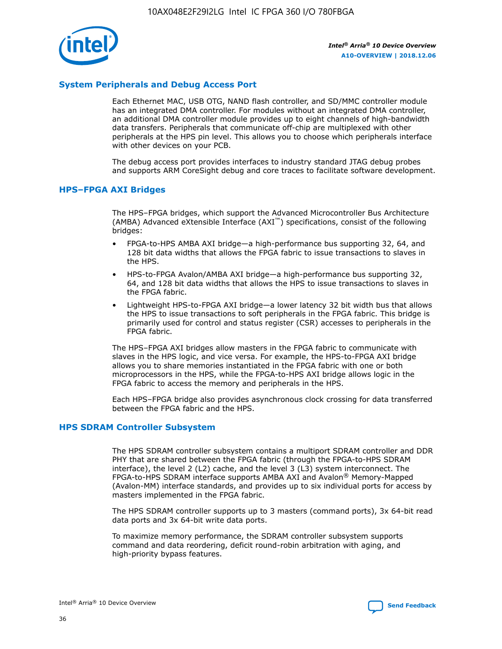

#### **System Peripherals and Debug Access Port**

Each Ethernet MAC, USB OTG, NAND flash controller, and SD/MMC controller module has an integrated DMA controller. For modules without an integrated DMA controller, an additional DMA controller module provides up to eight channels of high-bandwidth data transfers. Peripherals that communicate off-chip are multiplexed with other peripherals at the HPS pin level. This allows you to choose which peripherals interface with other devices on your PCB.

The debug access port provides interfaces to industry standard JTAG debug probes and supports ARM CoreSight debug and core traces to facilitate software development.

#### **HPS–FPGA AXI Bridges**

The HPS–FPGA bridges, which support the Advanced Microcontroller Bus Architecture (AMBA) Advanced eXtensible Interface (AXI™) specifications, consist of the following bridges:

- FPGA-to-HPS AMBA AXI bridge—a high-performance bus supporting 32, 64, and 128 bit data widths that allows the FPGA fabric to issue transactions to slaves in the HPS.
- HPS-to-FPGA Avalon/AMBA AXI bridge—a high-performance bus supporting 32, 64, and 128 bit data widths that allows the HPS to issue transactions to slaves in the FPGA fabric.
- Lightweight HPS-to-FPGA AXI bridge—a lower latency 32 bit width bus that allows the HPS to issue transactions to soft peripherals in the FPGA fabric. This bridge is primarily used for control and status register (CSR) accesses to peripherals in the FPGA fabric.

The HPS–FPGA AXI bridges allow masters in the FPGA fabric to communicate with slaves in the HPS logic, and vice versa. For example, the HPS-to-FPGA AXI bridge allows you to share memories instantiated in the FPGA fabric with one or both microprocessors in the HPS, while the FPGA-to-HPS AXI bridge allows logic in the FPGA fabric to access the memory and peripherals in the HPS.

Each HPS–FPGA bridge also provides asynchronous clock crossing for data transferred between the FPGA fabric and the HPS.

#### **HPS SDRAM Controller Subsystem**

The HPS SDRAM controller subsystem contains a multiport SDRAM controller and DDR PHY that are shared between the FPGA fabric (through the FPGA-to-HPS SDRAM interface), the level 2 (L2) cache, and the level 3 (L3) system interconnect. The FPGA-to-HPS SDRAM interface supports AMBA AXI and Avalon® Memory-Mapped (Avalon-MM) interface standards, and provides up to six individual ports for access by masters implemented in the FPGA fabric.

The HPS SDRAM controller supports up to 3 masters (command ports), 3x 64-bit read data ports and 3x 64-bit write data ports.

To maximize memory performance, the SDRAM controller subsystem supports command and data reordering, deficit round-robin arbitration with aging, and high-priority bypass features.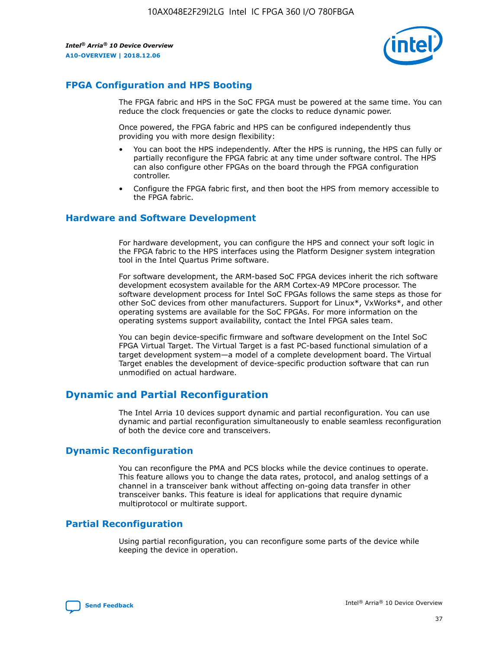

### **FPGA Configuration and HPS Booting**

The FPGA fabric and HPS in the SoC FPGA must be powered at the same time. You can reduce the clock frequencies or gate the clocks to reduce dynamic power.

Once powered, the FPGA fabric and HPS can be configured independently thus providing you with more design flexibility:

- You can boot the HPS independently. After the HPS is running, the HPS can fully or partially reconfigure the FPGA fabric at any time under software control. The HPS can also configure other FPGAs on the board through the FPGA configuration controller.
- Configure the FPGA fabric first, and then boot the HPS from memory accessible to the FPGA fabric.

#### **Hardware and Software Development**

For hardware development, you can configure the HPS and connect your soft logic in the FPGA fabric to the HPS interfaces using the Platform Designer system integration tool in the Intel Quartus Prime software.

For software development, the ARM-based SoC FPGA devices inherit the rich software development ecosystem available for the ARM Cortex-A9 MPCore processor. The software development process for Intel SoC FPGAs follows the same steps as those for other SoC devices from other manufacturers. Support for Linux\*, VxWorks\*, and other operating systems are available for the SoC FPGAs. For more information on the operating systems support availability, contact the Intel FPGA sales team.

You can begin device-specific firmware and software development on the Intel SoC FPGA Virtual Target. The Virtual Target is a fast PC-based functional simulation of a target development system—a model of a complete development board. The Virtual Target enables the development of device-specific production software that can run unmodified on actual hardware.

## **Dynamic and Partial Reconfiguration**

The Intel Arria 10 devices support dynamic and partial reconfiguration. You can use dynamic and partial reconfiguration simultaneously to enable seamless reconfiguration of both the device core and transceivers.

#### **Dynamic Reconfiguration**

You can reconfigure the PMA and PCS blocks while the device continues to operate. This feature allows you to change the data rates, protocol, and analog settings of a channel in a transceiver bank without affecting on-going data transfer in other transceiver banks. This feature is ideal for applications that require dynamic multiprotocol or multirate support.

## **Partial Reconfiguration**

Using partial reconfiguration, you can reconfigure some parts of the device while keeping the device in operation.

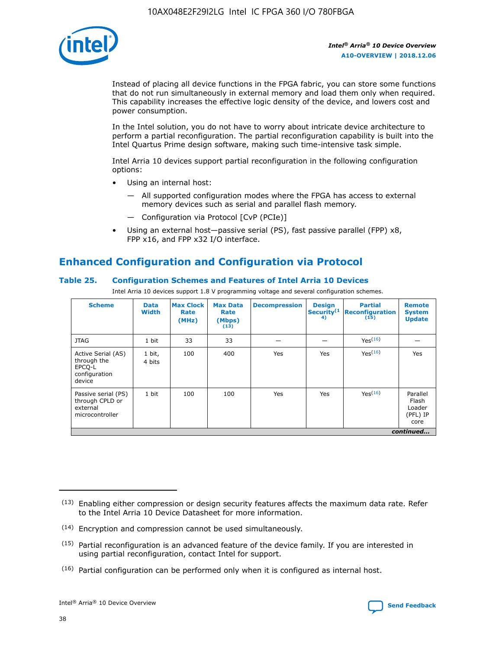

Instead of placing all device functions in the FPGA fabric, you can store some functions that do not run simultaneously in external memory and load them only when required. This capability increases the effective logic density of the device, and lowers cost and power consumption.

In the Intel solution, you do not have to worry about intricate device architecture to perform a partial reconfiguration. The partial reconfiguration capability is built into the Intel Quartus Prime design software, making such time-intensive task simple.

Intel Arria 10 devices support partial reconfiguration in the following configuration options:

- Using an internal host:
	- All supported configuration modes where the FPGA has access to external memory devices such as serial and parallel flash memory.
	- Configuration via Protocol [CvP (PCIe)]
- Using an external host—passive serial (PS), fast passive parallel (FPP) x8, FPP x16, and FPP x32 I/O interface.

## **Enhanced Configuration and Configuration via Protocol**

#### **Table 25. Configuration Schemes and Features of Intel Arria 10 Devices**

Intel Arria 10 devices support 1.8 V programming voltage and several configuration schemes.

| <b>Scheme</b>                                                          | <b>Data</b><br><b>Width</b> | <b>Max Clock</b><br>Rate<br>(MHz) | <b>Max Data</b><br>Rate<br>(Mbps)<br>(13) | <b>Decompression</b> | <b>Design</b><br>Security <sup>(1</sup><br>4) | <b>Partial</b><br>Reconfiguration<br>(15) | <b>Remote</b><br><b>System</b><br><b>Update</b> |
|------------------------------------------------------------------------|-----------------------------|-----------------------------------|-------------------------------------------|----------------------|-----------------------------------------------|-------------------------------------------|-------------------------------------------------|
| <b>JTAG</b>                                                            | 1 bit                       | 33                                | 33                                        |                      |                                               | Yes <sup>(16)</sup>                       |                                                 |
| Active Serial (AS)<br>through the<br>EPCO-L<br>configuration<br>device | 1 bit,<br>4 bits            | 100                               | 400                                       | Yes                  | Yes                                           | Yes(16)                                   | Yes                                             |
| Passive serial (PS)<br>through CPLD or<br>external<br>microcontroller  | 1 bit                       | 100                               | 100                                       | Yes                  | Yes                                           | Yes(16)                                   | Parallel<br>Flash<br>Loader<br>(PFL) IP<br>core |
|                                                                        |                             |                                   |                                           |                      |                                               |                                           | continued                                       |

<sup>(13)</sup> Enabling either compression or design security features affects the maximum data rate. Refer to the Intel Arria 10 Device Datasheet for more information.

<sup>(14)</sup> Encryption and compression cannot be used simultaneously.

 $<sup>(15)</sup>$  Partial reconfiguration is an advanced feature of the device family. If you are interested in</sup> using partial reconfiguration, contact Intel for support.

 $(16)$  Partial configuration can be performed only when it is configured as internal host.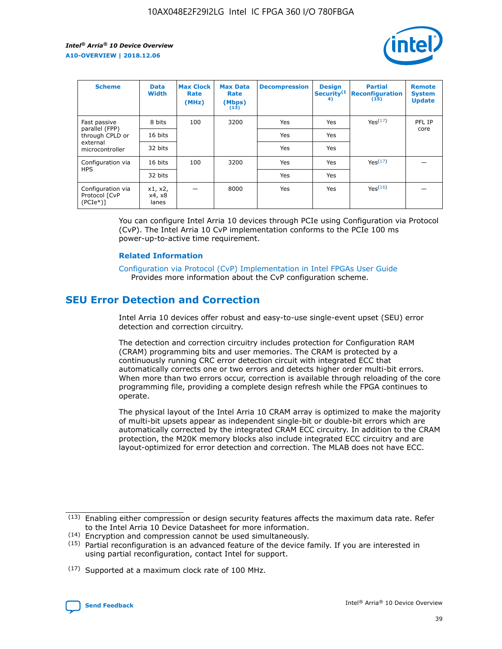

| <b>Scheme</b>                                   | <b>Data</b><br><b>Width</b> | <b>Max Clock</b><br>Rate<br>(MHz) | <b>Max Data</b><br>Rate<br>(Mbps)<br>(13) | <b>Decompression</b> | <b>Design</b><br>Security <sup>(1</sup><br>4) | <b>Partial</b><br><b>Reconfiguration</b><br>(15) | <b>Remote</b><br><b>System</b><br><b>Update</b> |
|-------------------------------------------------|-----------------------------|-----------------------------------|-------------------------------------------|----------------------|-----------------------------------------------|--------------------------------------------------|-------------------------------------------------|
| Fast passive                                    | 8 bits                      | 100                               | 3200                                      | Yes                  | Yes                                           | Yes(17)                                          | PFL IP                                          |
| parallel (FPP)<br>through CPLD or               | 16 bits                     |                                   |                                           | Yes                  | Yes                                           |                                                  | core                                            |
| external<br>microcontroller                     | 32 bits                     |                                   |                                           | Yes                  | Yes                                           |                                                  |                                                 |
| Configuration via                               | 16 bits                     | 100                               | 3200                                      | Yes                  | Yes                                           | Yes <sup>(17)</sup>                              |                                                 |
| <b>HPS</b>                                      | 32 bits                     |                                   |                                           | Yes                  | Yes                                           |                                                  |                                                 |
| Configuration via<br>Protocol [CvP<br>$(PCIe*)$ | x1, x2,<br>x4, x8<br>lanes  |                                   | 8000                                      | Yes                  | Yes                                           | Yes(16)                                          |                                                 |

You can configure Intel Arria 10 devices through PCIe using Configuration via Protocol (CvP). The Intel Arria 10 CvP implementation conforms to the PCIe 100 ms power-up-to-active time requirement.

#### **Related Information**

[Configuration via Protocol \(CvP\) Implementation in Intel FPGAs User Guide](https://www.intel.com/content/www/us/en/programmable/documentation/dsu1441819344145.html#dsu1442269728522) Provides more information about the CvP configuration scheme.

## **SEU Error Detection and Correction**

Intel Arria 10 devices offer robust and easy-to-use single-event upset (SEU) error detection and correction circuitry.

The detection and correction circuitry includes protection for Configuration RAM (CRAM) programming bits and user memories. The CRAM is protected by a continuously running CRC error detection circuit with integrated ECC that automatically corrects one or two errors and detects higher order multi-bit errors. When more than two errors occur, correction is available through reloading of the core programming file, providing a complete design refresh while the FPGA continues to operate.

The physical layout of the Intel Arria 10 CRAM array is optimized to make the majority of multi-bit upsets appear as independent single-bit or double-bit errors which are automatically corrected by the integrated CRAM ECC circuitry. In addition to the CRAM protection, the M20K memory blocks also include integrated ECC circuitry and are layout-optimized for error detection and correction. The MLAB does not have ECC.

(14) Encryption and compression cannot be used simultaneously.

<sup>(17)</sup> Supported at a maximum clock rate of 100 MHz.



 $(13)$  Enabling either compression or design security features affects the maximum data rate. Refer to the Intel Arria 10 Device Datasheet for more information.

 $(15)$  Partial reconfiguration is an advanced feature of the device family. If you are interested in using partial reconfiguration, contact Intel for support.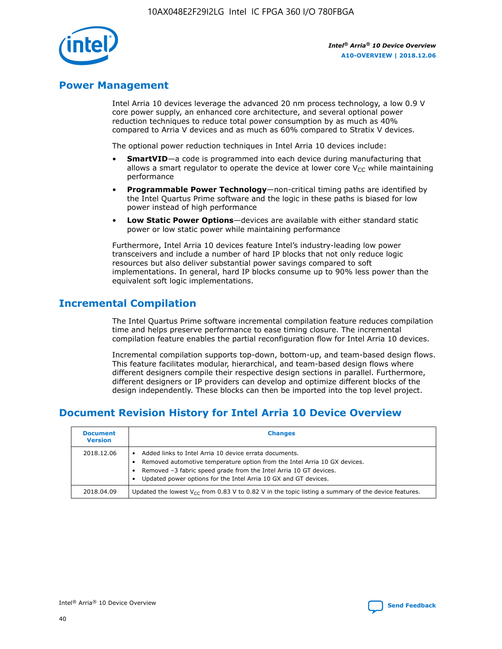

## **Power Management**

Intel Arria 10 devices leverage the advanced 20 nm process technology, a low 0.9 V core power supply, an enhanced core architecture, and several optional power reduction techniques to reduce total power consumption by as much as 40% compared to Arria V devices and as much as 60% compared to Stratix V devices.

The optional power reduction techniques in Intel Arria 10 devices include:

- **SmartVID**—a code is programmed into each device during manufacturing that allows a smart regulator to operate the device at lower core  $V_{CC}$  while maintaining performance
- **Programmable Power Technology**—non-critical timing paths are identified by the Intel Quartus Prime software and the logic in these paths is biased for low power instead of high performance
- **Low Static Power Options**—devices are available with either standard static power or low static power while maintaining performance

Furthermore, Intel Arria 10 devices feature Intel's industry-leading low power transceivers and include a number of hard IP blocks that not only reduce logic resources but also deliver substantial power savings compared to soft implementations. In general, hard IP blocks consume up to 90% less power than the equivalent soft logic implementations.

## **Incremental Compilation**

The Intel Quartus Prime software incremental compilation feature reduces compilation time and helps preserve performance to ease timing closure. The incremental compilation feature enables the partial reconfiguration flow for Intel Arria 10 devices.

Incremental compilation supports top-down, bottom-up, and team-based design flows. This feature facilitates modular, hierarchical, and team-based design flows where different designers compile their respective design sections in parallel. Furthermore, different designers or IP providers can develop and optimize different blocks of the design independently. These blocks can then be imported into the top level project.

## **Document Revision History for Intel Arria 10 Device Overview**

| <b>Document</b><br><b>Version</b> | <b>Changes</b>                                                                                                                                                                                                                                                              |
|-----------------------------------|-----------------------------------------------------------------------------------------------------------------------------------------------------------------------------------------------------------------------------------------------------------------------------|
| 2018.12.06                        | Added links to Intel Arria 10 device errata documents.<br>Removed automotive temperature option from the Intel Arria 10 GX devices.<br>Removed -3 fabric speed grade from the Intel Arria 10 GT devices.<br>Updated power options for the Intel Arria 10 GX and GT devices. |
| 2018.04.09                        | Updated the lowest $V_{CC}$ from 0.83 V to 0.82 V in the topic listing a summary of the device features.                                                                                                                                                                    |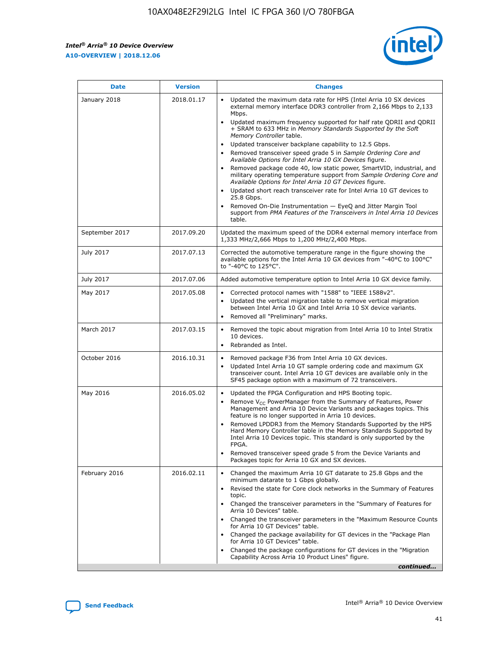$\mathsf{r}$ 



| <b>Date</b>    | <b>Version</b> | <b>Changes</b>                                                                                                                                                                                                                                                                                                                                                                                                                                                                                                                                                                                                                                                                                                                                                                                                                                                                                                                                                                         |
|----------------|----------------|----------------------------------------------------------------------------------------------------------------------------------------------------------------------------------------------------------------------------------------------------------------------------------------------------------------------------------------------------------------------------------------------------------------------------------------------------------------------------------------------------------------------------------------------------------------------------------------------------------------------------------------------------------------------------------------------------------------------------------------------------------------------------------------------------------------------------------------------------------------------------------------------------------------------------------------------------------------------------------------|
| January 2018   | 2018.01.17     | Updated the maximum data rate for HPS (Intel Arria 10 SX devices<br>external memory interface DDR3 controller from 2,166 Mbps to 2,133<br>Mbps.<br>Updated maximum frequency supported for half rate QDRII and QDRII<br>$\bullet$<br>+ SRAM to 633 MHz in Memory Standards Supported by the Soft<br>Memory Controller table.<br>Updated transceiver backplane capability to 12.5 Gbps.<br>$\bullet$<br>Removed transceiver speed grade 5 in Sample Ordering Core and<br>Available Options for Intel Arria 10 GX Devices figure.<br>Removed package code 40, low static power, SmartVID, industrial, and<br>military operating temperature support from Sample Ordering Core and<br>Available Options for Intel Arria 10 GT Devices figure.<br>Updated short reach transceiver rate for Intel Arria 10 GT devices to<br>25.8 Gbps.<br>Removed On-Die Instrumentation - EyeQ and Jitter Margin Tool<br>support from PMA Features of the Transceivers in Intel Arria 10 Devices<br>table. |
| September 2017 | 2017.09.20     | Updated the maximum speed of the DDR4 external memory interface from<br>1,333 MHz/2,666 Mbps to 1,200 MHz/2,400 Mbps.                                                                                                                                                                                                                                                                                                                                                                                                                                                                                                                                                                                                                                                                                                                                                                                                                                                                  |
| July 2017      | 2017.07.13     | Corrected the automotive temperature range in the figure showing the<br>available options for the Intel Arria 10 GX devices from "-40°C to 100°C"<br>to "-40°C to 125°C".                                                                                                                                                                                                                                                                                                                                                                                                                                                                                                                                                                                                                                                                                                                                                                                                              |
| July 2017      | 2017.07.06     | Added automotive temperature option to Intel Arria 10 GX device family.                                                                                                                                                                                                                                                                                                                                                                                                                                                                                                                                                                                                                                                                                                                                                                                                                                                                                                                |
| May 2017       | 2017.05.08     | Corrected protocol names with "1588" to "IEEE 1588v2".<br>$\bullet$<br>Updated the vertical migration table to remove vertical migration<br>$\bullet$<br>between Intel Arria 10 GX and Intel Arria 10 SX device variants.<br>Removed all "Preliminary" marks.<br>$\bullet$                                                                                                                                                                                                                                                                                                                                                                                                                                                                                                                                                                                                                                                                                                             |
| March 2017     | 2017.03.15     | Removed the topic about migration from Intel Arria 10 to Intel Stratix<br>10 devices.<br>Rebranded as Intel.<br>$\bullet$                                                                                                                                                                                                                                                                                                                                                                                                                                                                                                                                                                                                                                                                                                                                                                                                                                                              |
| October 2016   | 2016.10.31     | Removed package F36 from Intel Arria 10 GX devices.<br>Updated Intel Arria 10 GT sample ordering code and maximum GX<br>$\bullet$<br>transceiver count. Intel Arria 10 GT devices are available only in the<br>SF45 package option with a maximum of 72 transceivers.                                                                                                                                                                                                                                                                                                                                                                                                                                                                                                                                                                                                                                                                                                                  |
| May 2016       | 2016.05.02     | Updated the FPGA Configuration and HPS Booting topic.<br>Remove $V_{CC}$ PowerManager from the Summary of Features, Power<br>$\bullet$<br>Management and Arria 10 Device Variants and packages topics. This<br>feature is no longer supported in Arria 10 devices.<br>Removed LPDDR3 from the Memory Standards Supported by the HPS<br>Hard Memory Controller table in the Memory Standards Supported by<br>Intel Arria 10 Devices topic. This standard is only supported by the<br>FPGA.<br>Removed transceiver speed grade 5 from the Device Variants and<br>Packages topic for Arria 10 GX and SX devices.                                                                                                                                                                                                                                                                                                                                                                          |
| February 2016  | 2016.02.11     | Changed the maximum Arria 10 GT datarate to 25.8 Gbps and the<br>minimum datarate to 1 Gbps globally.<br>Revised the state for Core clock networks in the Summary of Features<br>$\bullet$<br>topic.<br>• Changed the transceiver parameters in the "Summary of Features for<br>Arria 10 Devices" table.<br>Changed the transceiver parameters in the "Maximum Resource Counts"<br>$\bullet$<br>for Arria 10 GT Devices" table.<br>• Changed the package availability for GT devices in the "Package Plan<br>for Arria 10 GT Devices" table.<br>Changed the package configurations for GT devices in the "Migration"<br>Capability Across Arria 10 Product Lines" figure.<br>continued                                                                                                                                                                                                                                                                                                 |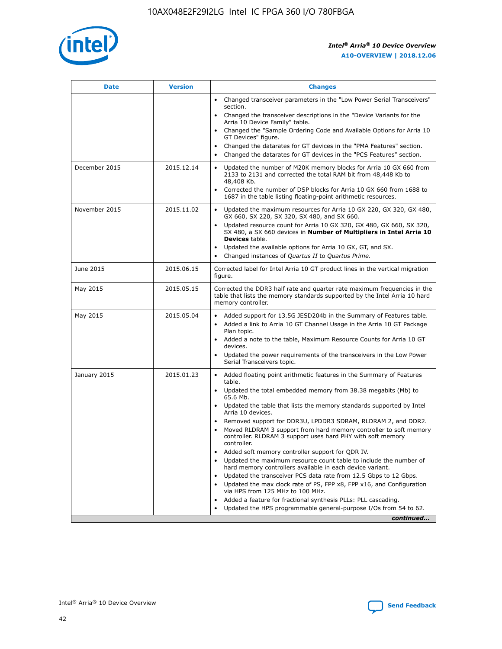

| <b>Date</b>   | <b>Version</b> | <b>Changes</b>                                                                                                                                                               |
|---------------|----------------|------------------------------------------------------------------------------------------------------------------------------------------------------------------------------|
|               |                | • Changed transceiver parameters in the "Low Power Serial Transceivers"<br>section.                                                                                          |
|               |                | Changed the transceiver descriptions in the "Device Variants for the<br>Arria 10 Device Family" table.                                                                       |
|               |                | Changed the "Sample Ordering Code and Available Options for Arria 10<br>GT Devices" figure.                                                                                  |
|               |                | Changed the datarates for GT devices in the "PMA Features" section.                                                                                                          |
|               |                | Changed the datarates for GT devices in the "PCS Features" section.                                                                                                          |
| December 2015 | 2015.12.14     | Updated the number of M20K memory blocks for Arria 10 GX 660 from<br>2133 to 2131 and corrected the total RAM bit from 48,448 Kb to<br>48,408 Kb.                            |
|               |                | Corrected the number of DSP blocks for Arria 10 GX 660 from 1688 to<br>$\bullet$<br>1687 in the table listing floating-point arithmetic resources.                           |
| November 2015 | 2015.11.02     | Updated the maximum resources for Arria 10 GX 220, GX 320, GX 480,<br>GX 660, SX 220, SX 320, SX 480, and SX 660.                                                            |
|               |                | • Updated resource count for Arria 10 GX 320, GX 480, GX 660, SX 320,<br>SX 480, a SX 660 devices in Number of Multipliers in Intel Arria 10<br><b>Devices</b> table.        |
|               |                | Updated the available options for Arria 10 GX, GT, and SX.                                                                                                                   |
|               |                | Changed instances of Quartus II to Quartus Prime.<br>$\bullet$                                                                                                               |
| June 2015     | 2015.06.15     | Corrected label for Intel Arria 10 GT product lines in the vertical migration<br>figure.                                                                                     |
| May 2015      | 2015.05.15     | Corrected the DDR3 half rate and quarter rate maximum frequencies in the<br>table that lists the memory standards supported by the Intel Arria 10 hard<br>memory controller. |
| May 2015      | 2015.05.04     | • Added support for 13.5G JESD204b in the Summary of Features table.<br>Added a link to Arria 10 GT Channel Usage in the Arria 10 GT Package<br>$\bullet$<br>Plan topic.     |
|               |                | • Added a note to the table, Maximum Resource Counts for Arria 10 GT<br>devices.                                                                                             |
|               |                | • Updated the power requirements of the transceivers in the Low Power<br>Serial Transceivers topic.                                                                          |
| January 2015  | 2015.01.23     | • Added floating point arithmetic features in the Summary of Features<br>table.                                                                                              |
|               |                | • Updated the total embedded memory from 38.38 megabits (Mb) to<br>65.6 Mb.                                                                                                  |
|               |                | • Updated the table that lists the memory standards supported by Intel<br>Arria 10 devices.                                                                                  |
|               |                | Removed support for DDR3U, LPDDR3 SDRAM, RLDRAM 2, and DDR2.                                                                                                                 |
|               |                | Moved RLDRAM 3 support from hard memory controller to soft memory<br>controller. RLDRAM 3 support uses hard PHY with soft memory<br>controller.                              |
|               |                | Added soft memory controller support for QDR IV.<br>$\bullet$                                                                                                                |
|               |                | Updated the maximum resource count table to include the number of<br>$\bullet$<br>hard memory controllers available in each device variant.                                  |
|               |                | Updated the transceiver PCS data rate from 12.5 Gbps to 12 Gbps.<br>$\bullet$                                                                                                |
|               |                | Updated the max clock rate of PS, FPP x8, FPP x16, and Configuration<br>via HPS from 125 MHz to 100 MHz.                                                                     |
|               |                | Added a feature for fractional synthesis PLLs: PLL cascading.<br>$\bullet$                                                                                                   |
|               |                | Updated the HPS programmable general-purpose I/Os from 54 to 62.                                                                                                             |
|               |                | continued                                                                                                                                                                    |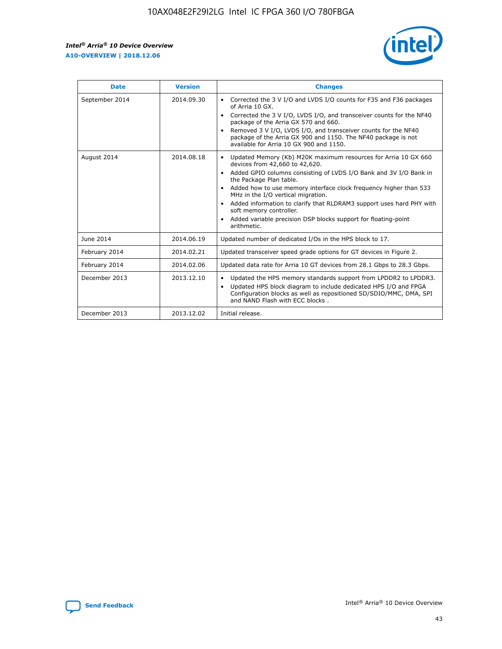r



| <b>Date</b>    | <b>Version</b> | <b>Changes</b>                                                                                                                                                                                                                                                                                                                                                                                                                                                                                                                         |
|----------------|----------------|----------------------------------------------------------------------------------------------------------------------------------------------------------------------------------------------------------------------------------------------------------------------------------------------------------------------------------------------------------------------------------------------------------------------------------------------------------------------------------------------------------------------------------------|
| September 2014 | 2014.09.30     | Corrected the 3 V I/O and LVDS I/O counts for F35 and F36 packages<br>of Arria 10 GX.<br>Corrected the 3 V I/O, LVDS I/O, and transceiver counts for the NF40<br>$\bullet$<br>package of the Arria GX 570 and 660.<br>Removed 3 V I/O, LVDS I/O, and transceiver counts for the NF40<br>package of the Arria GX 900 and 1150. The NF40 package is not<br>available for Arria 10 GX 900 and 1150.                                                                                                                                       |
| August 2014    | 2014.08.18     | Updated Memory (Kb) M20K maximum resources for Arria 10 GX 660<br>devices from 42,660 to 42,620.<br>Added GPIO columns consisting of LVDS I/O Bank and 3V I/O Bank in<br>$\bullet$<br>the Package Plan table.<br>Added how to use memory interface clock frequency higher than 533<br>$\bullet$<br>MHz in the I/O vertical migration.<br>Added information to clarify that RLDRAM3 support uses hard PHY with<br>$\bullet$<br>soft memory controller.<br>Added variable precision DSP blocks support for floating-point<br>arithmetic. |
| June 2014      | 2014.06.19     | Updated number of dedicated I/Os in the HPS block to 17.                                                                                                                                                                                                                                                                                                                                                                                                                                                                               |
| February 2014  | 2014.02.21     | Updated transceiver speed grade options for GT devices in Figure 2.                                                                                                                                                                                                                                                                                                                                                                                                                                                                    |
| February 2014  | 2014.02.06     | Updated data rate for Arria 10 GT devices from 28.1 Gbps to 28.3 Gbps.                                                                                                                                                                                                                                                                                                                                                                                                                                                                 |
| December 2013  | 2013.12.10     | Updated the HPS memory standards support from LPDDR2 to LPDDR3.<br>Updated HPS block diagram to include dedicated HPS I/O and FPGA<br>$\bullet$<br>Configuration blocks as well as repositioned SD/SDIO/MMC, DMA, SPI<br>and NAND Flash with ECC blocks.                                                                                                                                                                                                                                                                               |
| December 2013  | 2013.12.02     | Initial release.                                                                                                                                                                                                                                                                                                                                                                                                                                                                                                                       |